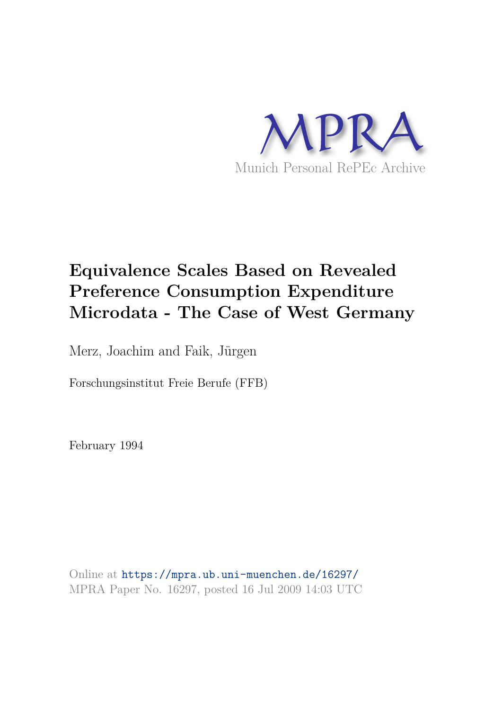

# **Equivalence Scales Based on Revealed Preference Consumption Expenditure Microdata - The Case of West Germany**

Merz, Joachim and Faik, Jürgen

Forschungsinstitut Freie Berufe (FFB)

February 1994

Online at https://mpra.ub.uni-muenchen.de/16297/ MPRA Paper No. 16297, posted 16 Jul 2009 14:03 UTC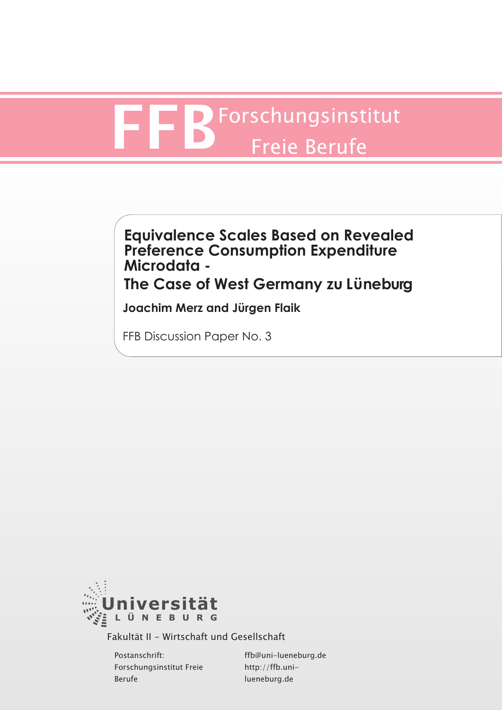# FRF Forschungsinstitut Freie Berufe

# **Equivalence Scales Based on Revealed Preference Consumption Expenditure Microdata - The Case of West Germany zu Lüneburg**

**Joachim Merz and Jürgen Flaik**

FFB Discussion Paper No. 3



Fakultät II - Wirtschaft und Gesellschaft

Postanschrift: Forschungsinstitut Freie Berufe

ffb@uni-lueneburg.de http://ffb.unilueneburg.de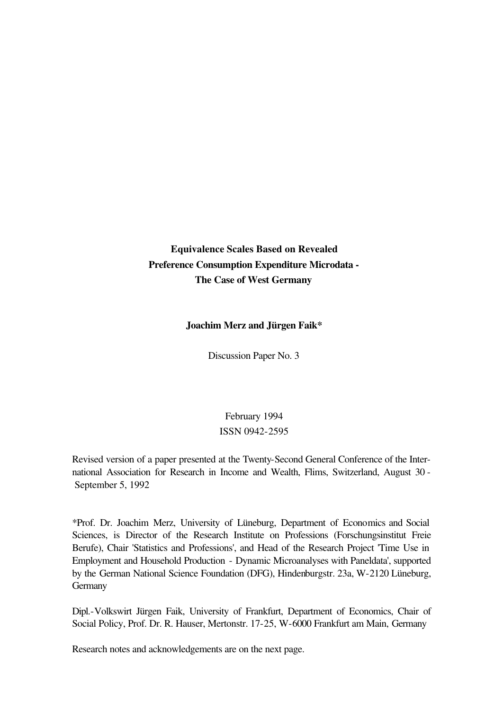**Equivalence Scales Based on Revealed Preference Consumption Expenditure Microdata - The Case of West Germany**

# **Joachim Merz and Jürgen Faik\***

Discussion Paper No. 3

February 1994 ISSN 0942-2595

Revised version of a paper presented at the Twenty-Second General Conference of the International Association for Research in Income and Wealth, Flims, Switzerland, August 30 - September 5, 1992

\*Prof. Dr. Joachim Merz, University of Lüneburg, Department of Economics and Social Sciences, is Director of the Research Institute on Professions (Forschungsinstitut Freie Berufe), Chair 'Statistics and Professions', and Head of the Research Project 'Time Use in Employment and Household Production - Dynamic Microanalyses with Paneldata', supported by the German National Science Foundation (DFG), Hindenburgstr. 23a, W-2120 Lüneburg, **Germany** 

Dipl.-Volkswirt Jürgen Faik, University of Frankfurt, Department of Economics, Chair of Social Policy, Prof. Dr. R. Hauser, Mertonstr. 17-25, W-6000 Frankfurt am Main, Germany

Research notes and acknowledgements are on the next page.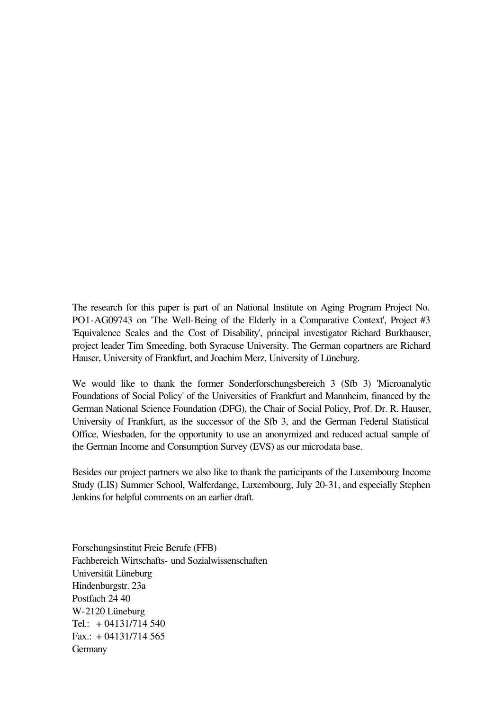The research for this paper is part of an National Institute on Aging Program Project No. PO1-AG09743 on 'The Well-Being of the Elderly in a Comparative Context', Project #3 'Equivalence Scales and the Cost of Disability', principal investigator Richard Burkhauser, project leader Tim Smeeding, both Syracuse University. The German copartners are Richard Hauser, University of Frankfurt, and Joachim Merz, University of Lüneburg.

We would like to thank the former Sonderforschungsbereich 3 (Sfb 3) 'Microanalytic Foundations of Social Policy' of the Universities of Frankfurt and Mannheim, financed by the German National Science Foundation (DFG), the Chair of Social Policy, Prof. Dr. R. Hauser, University of Frankfurt, as the successor of the Sfb 3, and the German Federal Statistical Office, Wiesbaden, for the opportunity to use an anonymized and reduced actual sample of the German Income and Consumption Survey (EVS) as our microdata base.

Besides our project partners we also like to thank the participants of the Luxembourg Income Study (LIS) Summer School, Walferdange, Luxembourg, July 20-31, and especially Stephen Jenkins for helpful comments on an earlier draft.

Forschungsinstitut Freie Berufe (FFB) Fachbereich Wirtschafts- und Sozialwissenschaften Universität Lüneburg Hindenburgstr. 23a Postfach 24 40 W-2120 Lüneburg Tel.:  $+ 04131/714540$ Fax.:  $+ 04131/714565$ **Germany**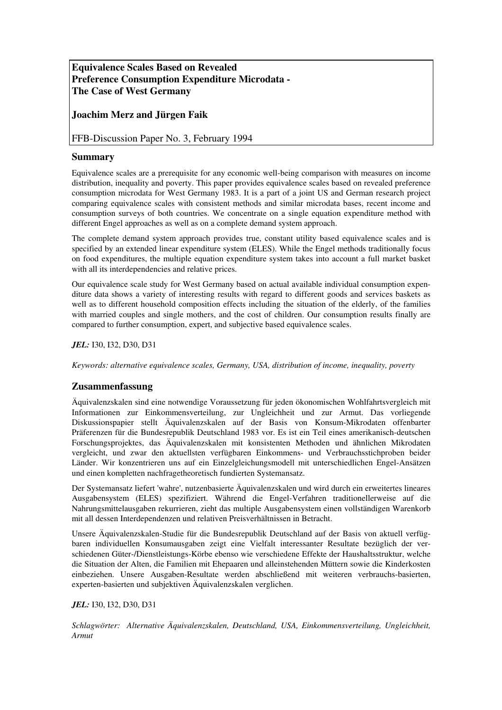# **Equivalence Scales Based on Revealed Preference Consumption Expenditure Microdata - The Case of West Germany**

# **Joachim Merz and Jürgen Faik**

# FFB-Discussion Paper No. 3, February 1994

# **Summary**

Equivalence scales are a prerequisite for any economic well-being comparison with measures on income distribution, inequality and poverty. This paper provides equivalence scales based on revealed preference consumption microdata for West Germany 1983. It is a part of a joint US and German research project comparing equivalence scales with consistent methods and similar microdata bases, recent income and consumption surveys of both countries. We concentrate on a single equation expenditure method with different Engel approaches as well as on a complete demand system approach.

The complete demand system approach provides true, constant utility based equivalence scales and is specified by an extended linear expenditure system (ELES). While the Engel methods traditionally focus on food expenditures, the multiple equation expenditure system takes into account a full market basket with all its interdependencies and relative prices.

Our equivalence scale study for West Germany based on actual available individual consumption expenditure data shows a variety of interesting results with regard to different goods and services baskets as well as to different household composition effects including the situation of the elderly, of the families with married couples and single mothers, and the cost of children. Our consumption results finally are compared to further consumption, expert, and subjective based equivalence scales.

*JEL:* I30, I32, D30, D31

*Keywords: alternative equivalence scales, Germany, USA, distribution of income, inequality, poverty* 

# **Zusammenfassung**

Äquivalenzskalen sind eine notwendige Voraussetzung für jeden ökonomischen Wohlfahrtsvergleich mit Informationen zur Einkommensverteilung, zur Ungleichheit und zur Armut. Das vorliegende Diskussionspapier stellt Äquivalenzskalen auf der Basis von Konsum-Mikrodaten offenbarter Präferenzen für die Bundesrepublik Deutschland 1983 vor. Es ist ein Teil eines amerikanisch-deutschen Forschungsprojektes, das Äquivalenzskalen mit konsistenten Methoden und ähnlichen Mikrodaten vergleicht, und zwar den aktuellsten verfügbaren Einkommens- und Verbrauchsstichproben beider Länder. Wir konzentrieren uns auf ein Einzelgleichungsmodell mit unterschiedlichen Engel-Ansätzen und einen kompletten nachfragetheoretisch fundierten Systemansatz.

Der Systemansatz liefert 'wahre', nutzenbasierte Äquivalenzskalen und wird durch ein erweitertes lineares Ausgabensystem (ELES) spezifiziert. Während die Engel-Verfahren traditionellerweise auf die Nahrungsmittelausgaben rekurrieren, zieht das multiple Ausgabensystem einen vollständigen Warenkorb mit all dessen Interdependenzen und relativen Preisverhältnissen in Betracht.

Unsere Äquivalenzskalen-Studie für die Bundesrepublik Deutschland auf der Basis von aktuell verfügbaren individuellen Konsumausgaben zeigt eine Vielfalt interessanter Resultate bezüglich der verschiedenen Güter-/Dienstleistungs-Körbe ebenso wie verschiedene Effekte der Haushaltsstruktur, welche die Situation der Alten, die Familien mit Ehepaaren und alleinstehenden Müttern sowie die Kinderkosten einbeziehen. Unsere Ausgaben-Resultate werden abschließend mit weiteren verbrauchs-basierten, experten-basierten und subjektiven Äquivalenzskalen verglichen.

### *JEL:* I30, I32, D30, D31

*Schlagwörter: Alternative Äquivalenzskalen, Deutschland, USA, Einkommensverteilung, Ungleichheit, Armut*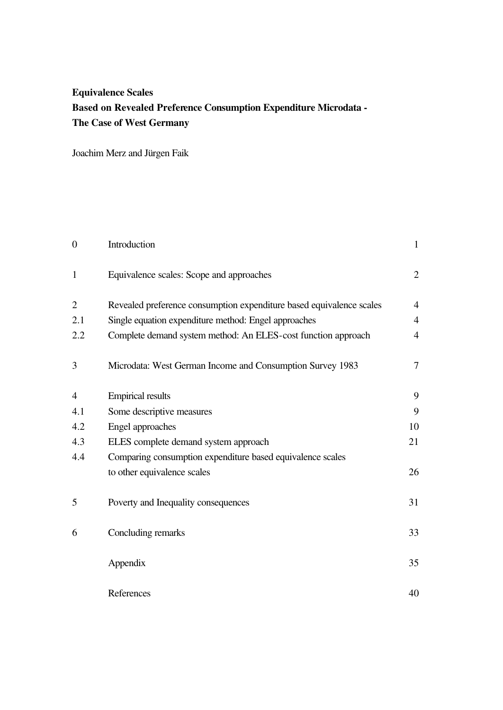# **Equivalence Scales Based on Revealed Preference Consumption Expenditure Microdata - The Case of West Germany**

Joachim Merz and Jürgen Faik

| $\overline{0}$ | Introduction                                                         | $\mathbf{1}$   |
|----------------|----------------------------------------------------------------------|----------------|
| $\mathbf{1}$   | Equivalence scales: Scope and approaches                             | $\overline{2}$ |
| $\overline{2}$ | Revealed preference consumption expenditure based equivalence scales | $\overline{4}$ |
| 2.1            | Single equation expenditure method: Engel approaches                 | $\overline{4}$ |
| 2.2            | Complete demand system method: An ELES-cost function approach        | $\overline{4}$ |
| 3              | Microdata: West German Income and Consumption Survey 1983            | 7              |
| $\overline{4}$ | <b>Empirical results</b>                                             | 9              |
| 4.1            | Some descriptive measures                                            | 9              |
| 4.2            | Engel approaches                                                     | 10             |
| 4.3            | ELES complete demand system approach                                 | 21             |
| 4.4            | Comparing consumption expenditure based equivalence scales           |                |
|                | to other equivalence scales                                          | 26             |
| 5              | Poverty and Inequality consequences                                  | 31             |
| 6              | Concluding remarks                                                   | 33             |
|                | Appendix                                                             | 35             |
|                | References                                                           | 40             |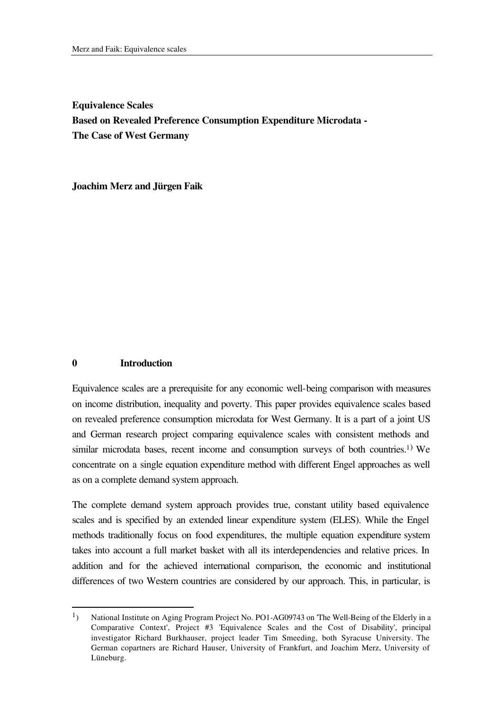**Equivalence Scales Based on Revealed Preference Consumption Expenditure Microdata - The Case of West Germany**

**Joachim Merz and Jürgen Faik**

### **0 Introduction**

l

Equivalence scales are a prerequisite for any economic well-being comparison with measures on income distribution, inequality and poverty. This paper provides equivalence scales based on revealed preference consumption microdata for West Germany. It is a part of a joint US and German research project comparing equivalence scales with consistent methods and similar microdata bases, recent income and consumption surveys of both countries.<sup>1)</sup> We concentrate on a single equation expenditure method with different Engel approaches as well as on a complete demand system approach.

The complete demand system approach provides true, constant utility based equivalence scales and is specified by an extended linear expenditure system (ELES). While the Engel methods traditionally focus on food expenditures, the multiple equation expenditure system takes into account a full market basket with all its interdependencies and relative prices. In addition and for the achieved international comparison, the economic and institutional differences of two Western countries are considered by our approach. This, in particular, is

<sup>&</sup>lt;sup>1</sup>) National Institute on Aging Program Project No. PO1-AG09743 on 'The Well-Being of the Elderly in a Comparative Context', Project #3 'Equivalence Scales and the Cost of Disability', principal investigator Richard Burkhauser, project leader Tim Smeeding, both Syracuse University. The German copartners are Richard Hauser, University of Frankfurt, and Joachim Merz, University of Lüneburg.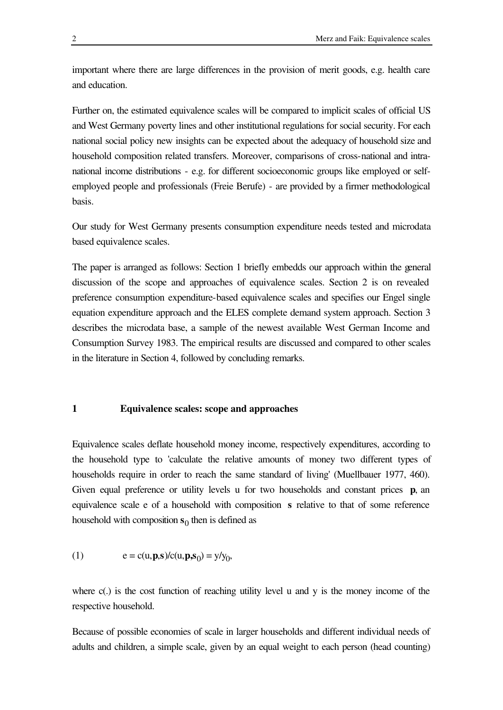important where there are large differences in the provision of merit goods, e.g. health care and education.

Further on, the estimated equivalence scales will be compared to implicit scales of official US and West Germany poverty lines and other institutional regulations for social security. For each national social policy new insights can be expected about the adequacy of household size and household composition related transfers. Moreover, comparisons of cross-national and intranational income distributions - e.g. for different socioeconomic groups like employed or selfemployed people and professionals (Freie Berufe) - are provided by a firmer methodological basis.

Our study for West Germany presents consumption expenditure needs tested and microdata based equivalence scales.

The paper is arranged as follows: Section 1 briefly embedds our approach within the general discussion of the scope and approaches of equivalence scales. Section 2 is on revealed preference consumption expenditure-based equivalence scales and specifies our Engel single equation expenditure approach and the ELES complete demand system approach. Section 3 describes the microdata base, a sample of the newest available West German Income and Consumption Survey 1983. The empirical results are discussed and compared to other scales in the literature in Section 4, followed by concluding remarks.

### **1 Equivalence scales: scope and approaches**

Equivalence scales deflate household money income, respectively expenditures, according to the household type to 'calculate the relative amounts of money two different types of households require in order to reach the same standard of living' (Muellbauer 1977, 460). Given equal preference or utility levels u for two households and constant prices **p**, an equivalence scale e of a household with composition **s** relative to that of some reference household with composition  $s_0$  then is defined as

(1) 
$$
e = c(u, p, s)/c(u, p, s_0) = y/y_0,
$$

where c(.) is the cost function of reaching utility level u and y is the money income of the respective household.

Because of possible economies of scale in larger households and different individual needs of adults and children, a simple scale, given by an equal weight to each person (head counting)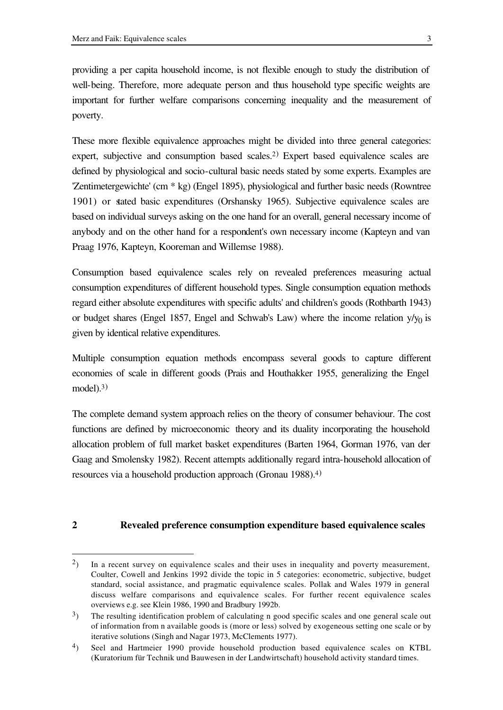l

providing a per capita household income, is not flexible enough to study the distribution of well-being. Therefore, more adequate person and thus household type specific weights are important for further welfare comparisons concerning inequality and the measurement of poverty.

These more flexible equivalence approaches might be divided into three general categories: expert, subjective and consumption based scales.<sup>2)</sup> Expert based equivalence scales are defined by physiological and socio-cultural basic needs stated by some experts. Examples are 'Zentimetergewichte' (cm \* kg) (Engel 1895), physiological and further basic needs (Rowntree 1901) or stated basic expenditures (Orshansky 1965). Subjective equivalence scales are based on individual surveys asking on the one hand for an overall, general necessary income of anybody and on the other hand for a respondent's own necessary income (Kapteyn and van Praag 1976, Kapteyn, Kooreman and Willemse 1988).

Consumption based equivalence scales rely on revealed preferences measuring actual consumption expenditures of different household types. Single consumption equation methods regard either absolute expenditures with specific adults' and children's goods (Rothbarth 1943) or budget shares (Engel 1857, Engel and Schwab's Law) where the income relation  $y/y_0$  is given by identical relative expenditures.

Multiple consumption equation methods encompass several goods to capture different economies of scale in different goods (Prais and Houthakker 1955, generalizing the Engel  $model).<sup>3</sup>$ 

The complete demand system approach relies on the theory of consumer behaviour. The cost functions are defined by microeconomic theory and its duality incorporating the household allocation problem of full market basket expenditures (Barten 1964, Gorman 1976, van der Gaag and Smolensky 1982). Recent attempts additionally regard intra-household allocation of resources via a household production approach (Gronau 1988).<sup>4</sup>)

# **2 Revealed preference consumption expenditure based equivalence scales**

 $2$ ) In a recent survey on equivalence scales and their uses in inequality and poverty measurement, Coulter, Cowell and Jenkins 1992 divide the topic in 5 categories: econometric, subjective, budget standard, social assistance, and pragmatic equivalence scales. Pollak and Wales 1979 in general discuss welfare comparisons and equivalence scales. For further recent equivalence scales overviews e.g. see Klein 1986, 1990 and Bradbury 1992b.

<sup>&</sup>lt;sup>3</sup>) The resulting identification problem of calculating n good specific scales and one general scale out of information from n available goods is (more or less) solved by exogeneous setting one scale or by iterative solutions (Singh and Nagar 1973, McClements 1977).

<sup>4</sup>) Seel and Hartmeier 1990 provide household production based equivalence scales on KTBL (Kuratorium für Technik und Bauwesen in der Landwirtschaft) household activity standard times.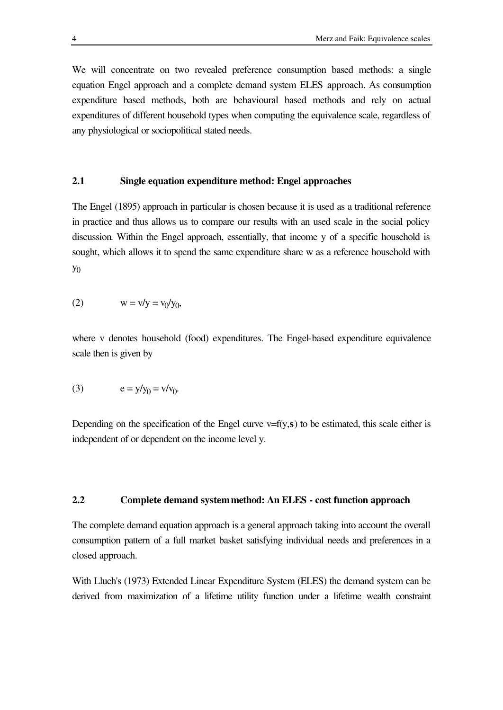We will concentrate on two revealed preference consumption based methods: a single equation Engel approach and a complete demand system ELES approach. As consumption expenditure based methods, both are behavioural based methods and rely on actual expenditures of different household types when computing the equivalence scale, regardless of any physiological or sociopolitical stated needs.

# **2.1 Single equation expenditure method: Engel approaches**

The Engel (1895) approach in particular is chosen because it is used as a traditional reference in practice and thus allows us to compare our results with an used scale in the social policy discussion. Within the Engel approach, essentially, that income y of a specific household is sought, which allows it to spend the same expenditure share w as a reference household with  $y_0$ 

$$
(2) \t\t\t w = v/y = v_0/y_0,
$$

where v denotes household (food) expenditures. The Engel-based expenditure equivalence scale then is given by

(3) 
$$
e = y/y_0 = v/v_0.
$$

Depending on the specification of the Engel curve  $v=f(y,s)$  to be estimated, this scale either is independent of or dependent on the income level y.

### **2.2 Complete demand system method: An ELES - cost function approach**

The complete demand equation approach is a general approach taking into account the overall consumption pattern of a full market basket satisfying individual needs and preferences in a closed approach.

With Lluch's (1973) Extended Linear Expenditure System (ELES) the demand system can be derived from maximization of a lifetime utility function under a lifetime wealth constraint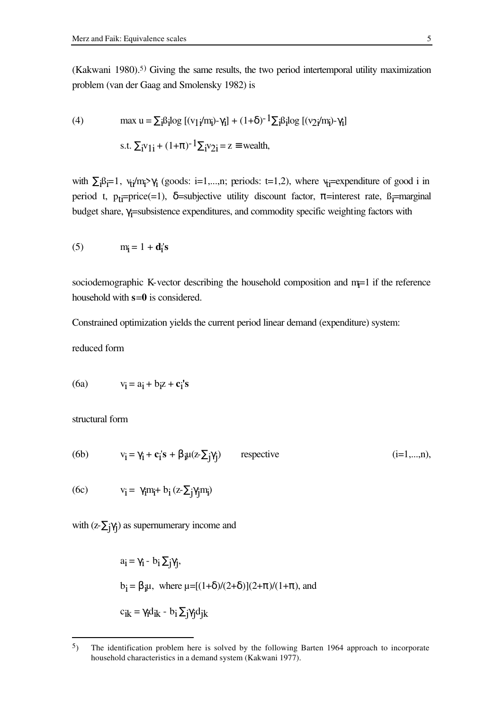(Kakwani 1980).<sup>5)</sup> Giving the same results, the two period intertemporal utility maximization problem (van der Gaag and Smolensky 1982) is

(4) 
$$
\max u = \sum_{i} \beta_{i} \log [(v_{1}i/m_{i}) - \gamma_{i}] + (1+\delta)^{-1} \sum_{i} \beta_{i} \log [(v_{2}i/m_{i}) - \gamma_{i}]
$$
  
s.t. 
$$
\sum_{i} v_{1i} + (1+\pi)^{-1} \sum_{i} v_{2i} = z \equiv \text{wealth},
$$

with  $\Sigma_i B_{i}=1$ ,  $v_{ti}/m_i > \gamma_i$  (goods: i=1,...,n; periods: t=1,2), where  $v_{ti}$ =expenditure of good i in period t, p<sub>ti</sub>=price(=1),  $\delta$ =subjective utility discount factor,  $\pi$ =interest rate, ß<sub>i</sub>=marginal budget share, γ<sub>j</sub>=subsistence expenditures, and commodity specific weighting factors with

$$
(5) \t mi = 1 + di's
$$

sociodemographic K-vector describing the household composition and  $m=1$  if the reference household with **s**=**0** is considered.

Constrained optimization yields the current period linear demand (expenditure) system:

reduced form

$$
(6a) \t vi = ai + biz + ci's
$$

structural form

l

(6b) 
$$
v_i = \gamma_i + c_i's + \beta_i \mu(z \cdot \Sigma_j \gamma_j)
$$
 respectively (i=1,...,n),

 $(6c)$  $= \gamma_i m_i + b_i (z - \sum_j \gamma_j m_i)$ 

with  $(z-\Sigma_j\gamma_j)$  as supernumerary income and

$$
a_i = \gamma_i - b_i \sum_j \gamma_j,
$$
  
\n
$$
b_i = \beta_i \mu, \text{ where } \mu = [(1+\delta)/(2+\delta)](2+\pi)/(1+\pi), \text{ and}
$$
  
\n
$$
c_{ik} = \gamma_i d_{ik} - b_i \sum_j \gamma_j d_{jk}
$$

<sup>5</sup>) The identification problem here is solved by the following Barten 1964 approach to incorporate household characteristics in a demand system (Kakwani 1977).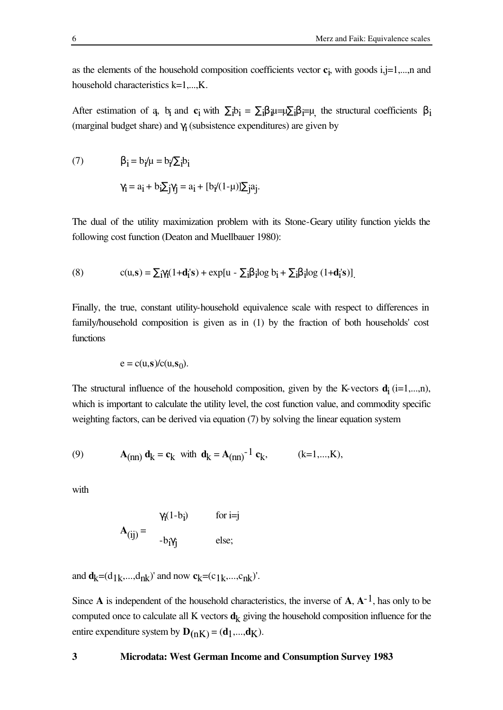as the elements of the household composition coefficients vector **c**i , with goods i,j=1,...,n and household characteristics k=1,...,K.

After estimation of  $a$ ,  $b_i$  and  $c_i$  with  $\Sigma_i b_i = \Sigma_i \beta_i \mapsto \Sigma_i \beta_i = \mu$ , the structural coefficients  $\beta_i$ (marginal budget share) and  $\gamma_i$  (subsistence expenditures) are given by

(7) 
$$
\beta_i = b_i / \mu = b_i / \sum_i b_i
$$

$$
\gamma_i = a_i + b_i \sum_j \gamma_j = a_i + [b_i / (1 - \mu)] \sum_j a_j.
$$

The dual of the utility maximization problem with its Stone-Geary utility function yields the following cost function (Deaton and Muellbauer 1980):

(8) 
$$
c(u,s) = \sum_{i} \gamma_i (1 + \mathbf{d}_i's) + \exp[u - \sum_{i} \beta_i \log b_i + \sum_{i} \beta_i \log (1 + \mathbf{d}_i's)].
$$

Finally, the true, constant utility-household equivalence scale with respect to differences in family/household composition is given as in (1) by the fraction of both households' cost functions

$$
e = c(u, s)/c(u, s_0).
$$

The structural influence of the household composition, given by the K-vectors  $\mathbf{d}_i$  (i=1,...,n), which is important to calculate the utility level, the cost function value, and commodity specific weighting factors, can be derived via equation (7) by solving the linear equation system

(9) 
$$
A_{(nn)} d_k = c_k
$$
 with  $d_k = A_{(nn)}^{-1} c_k$ ,  $(k=1,...,K)$ ,

with

$$
\mathbf{A}_{(ij)} = \begin{bmatrix} \gamma_i (1 - b_i) & \text{for } i = j \\ -b_i \gamma_j & \text{else;} \end{bmatrix}
$$

and  $\mathbf{d}_k = (d_{1k},...,d_{nk})'$  and now  $\mathbf{c}_k = (c_{1k},...,c_{nk})'$ .

Since **A** is independent of the household characteristics, the inverse of **A**, **A**-1, has only to be computed once to calculate all K vectors  $\mathbf{d}_k$  giving the household composition influence for the entire expenditure system by  $\mathbf{D}_{(nK)} = (\mathbf{d}_1, ..., \mathbf{d}_K)$ .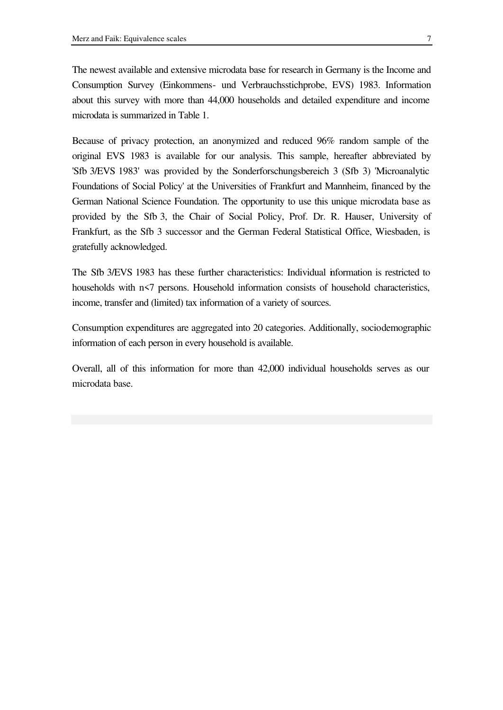The newest available and extensive microdata base for research in Germany is the Income and Consumption Survey (Einkommens- und Verbrauchsstichprobe, EVS) 1983. Information about this survey with more than 44,000 households and detailed expenditure and income microdata is summarized in Table 1.

Because of privacy protection, an anonymized and reduced 96% random sample of the original EVS 1983 is available for our analysis. This sample, hereafter abbreviated by 'Sfb 3/EVS 1983' was provided by the Sonderforschungsbereich 3 (Sfb 3) 'Microanalytic Foundations of Social Policy' at the Universities of Frankfurt and Mannheim, financed by the German National Science Foundation. The opportunity to use this unique microdata base as provided by the Sfb 3, the Chair of Social Policy, Prof. Dr. R. Hauser, University of Frankfurt, as the Sfb 3 successor and the German Federal Statistical Office, Wiesbaden, is gratefully acknowledged.

The Sfb 3/EVS 1983 has these further characteristics: Individual information is restricted to households with n<7 persons. Household information consists of household characteristics, income, transfer and (limited) tax information of a variety of sources.

Consumption expenditures are aggregated into 20 categories. Additionally, sociodemographic information of each person in every household is available.

Overall, all of this information for more than 42,000 individual households serves as our microdata base.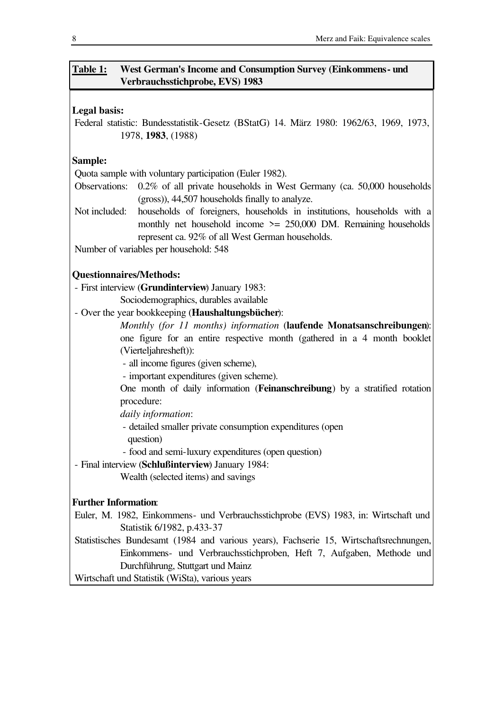# **Table 1: West German's Income and Consumption Survey (Einkommens- und Verbrauchsstichprobe, EVS) 1983**

# **Legal basis:**

Federal statistic: Bundesstatistik-Gesetz (BStatG) 14. März 1980: 1962/63, 1969, 1973, 1978, **1983**, (1988)

# **Sample:**

Quota sample with voluntary participation (Euler 1982).

- Observations: 0.2% of all private households in West Germany (ca. 50,000 households (gross)), 44,507 households finally to analyze.
- Not included: households of foreigners, households in institutions, households with a monthly net household income  $\ge$  = 250,000 DM. Remaining households represent ca. 92% of all West German households.

Number of variables per household: 548

# **Questionnaires/Methods:**

- First interview (**Grundinterview**) January 1983:

Sociodemographics, durables available

- Over the year bookkeeping (**Haushaltungsbücher**):

*Monthly (for 11 months) information* (**laufende Monatsanschreibungen**): one figure for an entire respective month (gathered in a 4 month booklet (Vierteljahresheft)):

- all income figures (given scheme),

- important expenditures (given scheme).

One month of daily information (**Feinanschreibung**) by a stratified rotation procedure:

*daily information*:

 - detailed smaller private consumption expenditures (open question)

- food and semi-luxury expenditures (open question)

- Final interview (**Schlußinterview**) January 1984:

Wealth (selected items) and savings

# **Further Information**:

Euler, M. 1982, Einkommens- und Verbrauchsstichprobe (EVS) 1983, in: Wirtschaft und Statistik 6/1982, p.433-37

Statistisches Bundesamt (1984 and various years), Fachserie 15, Wirtschaftsrechnungen, Einkommens- und Verbrauchsstichproben, Heft 7, Aufgaben, Methode und Durchführung, Stuttgart und Mainz

Wirtschaft und Statistik (WiSta), various years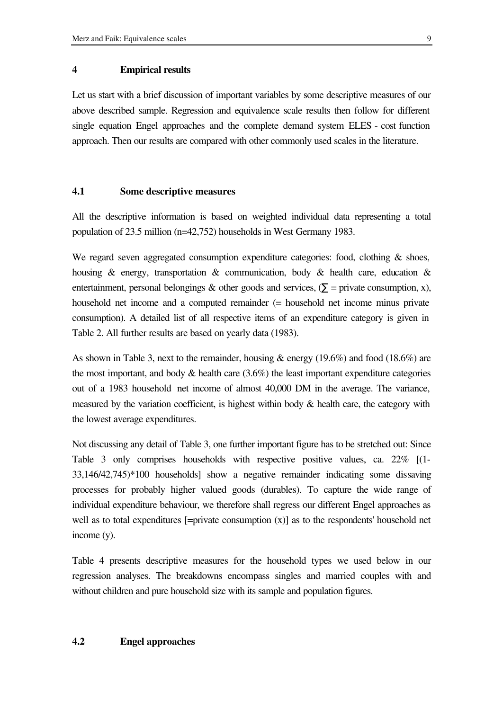# **4 Empirical results**

Let us start with a brief discussion of important variables by some descriptive measures of our above described sample. Regression and equivalence scale results then follow for different single equation Engel approaches and the complete demand system ELES - cost function approach. Then our results are compared with other commonly used scales in the literature.

# **4.1 Some descriptive measures**

All the descriptive information is based on weighted individual data representing a total population of 23.5 million (n=42,752) households in West Germany 1983.

We regard seven aggregated consumption expenditure categories: food, clothing  $\&$  shoes, housing & energy, transportation & communication, body & health care, education & entertainment, personal belongings & other goods and services,  $(\Sigma$  = private consumption, x), household net income and a computed remainder (= household net income minus private consumption). A detailed list of all respective items of an expenditure category is given in Table 2. All further results are based on yearly data (1983).

As shown in Table 3, next to the remainder, housing & energy (19.6%) and food (18.6%) are the most important, and body  $\&$  health care  $(3.6\%)$  the least important expenditure categories out of a 1983 household net income of almost 40,000 DM in the average. The variance, measured by the variation coefficient, is highest within body  $\&$  health care, the category with the lowest average expenditures.

Not discussing any detail of Table 3, one further important figure has to be stretched out: Since Table 3 only comprises households with respective positive values, ca. 22% [(1- 33,146/42,745)\*100 households] show a negative remainder indicating some dissaving processes for probably higher valued goods (durables). To capture the wide range of individual expenditure behaviour, we therefore shall regress our different Engel approaches as well as to total expenditures [=private consumption (x)] as to the respondents' household net income (y).

Table 4 presents descriptive measures for the household types we used below in our regression analyses. The breakdowns encompass singles and married couples with and without children and pure household size with its sample and population figures.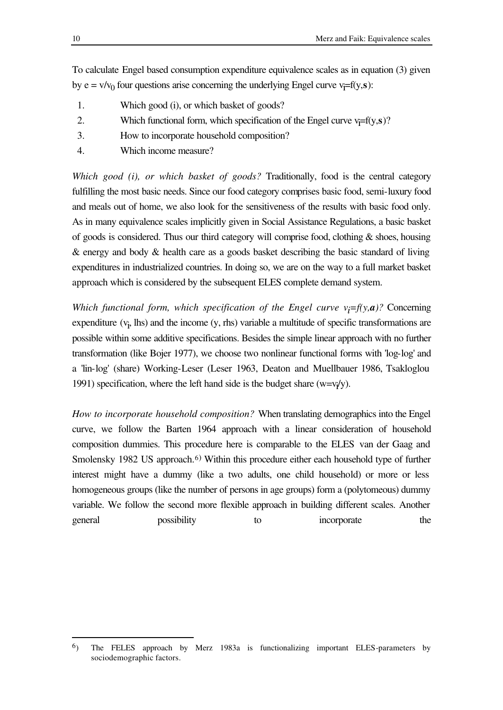To calculate Engel based consumption expenditure equivalence scales as in equation (3) given by  $e = v/v_0$  four questions arise concerning the underlying Engel curve  $v_i = f(y, s)$ :

- 1. Which good (i), or which basket of goods?
- 2. Which functional form, which specification of the Engel curve  $v_i = f(y, s)$ ?
- 3. How to incorporate household composition?
- 4. Which income measure?

*Which good (i), or which basket of goods?* Traditionally, food is the central category fulfilling the most basic needs. Since our food category comprises basic food, semi-luxury food and meals out of home, we also look for the sensitiveness of the results with basic food only. As in many equivalence scales implicitly given in Social Assistance Regulations, a basic basket of goods is considered. Thus our third category will comprise food, clothing & shoes, housing & energy and body & health care as a goods basket describing the basic standard of living expenditures in industrialized countries. In doing so, we are on the way to a full market basket approach which is considered by the subsequent ELES complete demand system.

*Which functional form, which specification of the Engel curve*  $v_i = f(y, a)$ *?* Concerning  $expenditure (v<sub>i</sub>, lhs)$  and the income  $(y, rhs)$  variable a multitude of specific transformations are possible within some additive specifications. Besides the simple linear approach with no further transformation (like Bojer 1977), we choose two nonlinear functional forms with 'log-log' and a 'lin-log' (share) Working-Leser (Leser 1963, Deaton and Muellbauer 1986, Tsakloglou 1991) specification, where the left hand side is the budget share  $(w=v<sub>f</sub>/y)$ .

*How to incorporate household composition?* When translating demographics into the Engel curve, we follow the Barten 1964 approach with a linear consideration of household composition dummies. This procedure here is comparable to the ELES van der Gaag and Smolensky 1982 US approach.<sup>6)</sup> Within this procedure either each household type of further interest might have a dummy (like a two adults, one child household) or more or less homogeneous groups (like the number of persons in age groups) form a (polytomeous) dummy variable. We follow the second more flexible approach in building different scales. Another general possibility to incorporate the

l

<sup>6</sup>) The FELES approach by Merz 1983a is functionalizing important ELES-parameters by sociodemographic factors.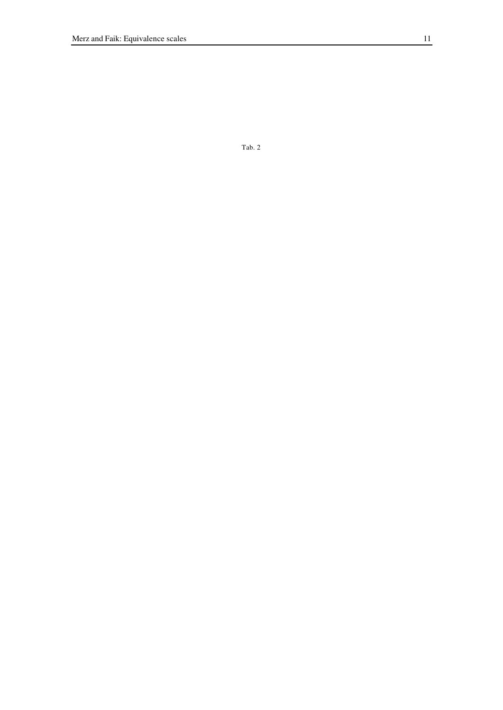Tab. 2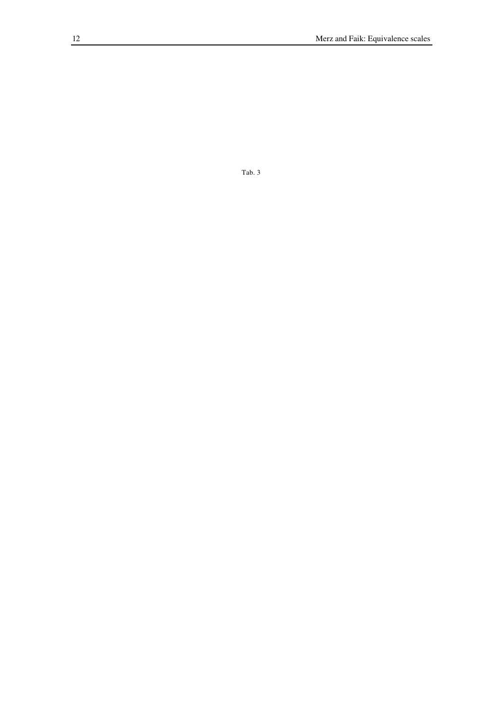Tab. 3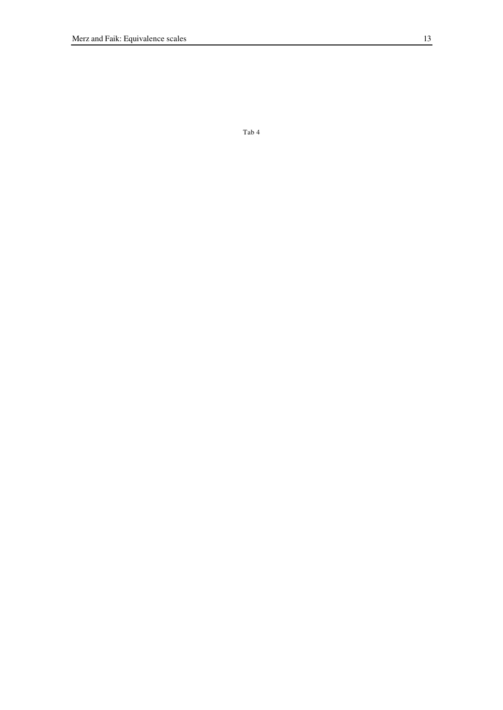Tab 4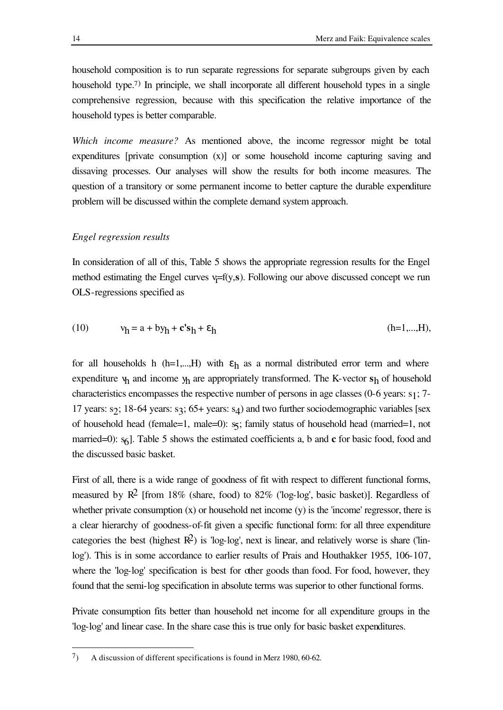household composition is to run separate regressions for separate subgroups given by each household type.<sup>7)</sup> In principle, we shall incorporate all different household types in a single comprehensive regression, because with this specification the relative importance of the household types is better comparable.

*Which income measure?* As mentioned above, the income regressor might be total expenditures [private consumption (x)] or some household income capturing saving and dissaving processes. Our analyses will show the results for both income measures. The question of a transitory or some permanent income to better capture the durable expenditure problem will be discussed within the complete demand system approach.

# *Engel regression results*

In consideration of all of this, Table 5 shows the appropriate regression results for the Engel method estimating the Engel curves  $v_i=f(y,s)$ . Following our above discussed concept we run OLS-regressions specified as

(10) vh = a + byh + **c's**h + εh (h=1,...,H),

for all households h (h=1,...,H) with  $\varepsilon_h$  as a normal distributed error term and where expenditure  $v_h$  and income  $y_h$  are appropriately transformed. The K-vector  $s_h$  of household characteristics encompasses the respective number of persons in age classes (0-6 years: s1; 7- 17 years: s $\gamma$ ; 18-64 years: s $\gamma$ ; 65+ years: s<sub>4</sub>) and two further sociodemographic variables [sex of household head (female=1, male=0): s, family status of household head (married=1, not married=0):  $s<sub>6</sub>$ ]. Table 5 shows the estimated coefficients a, b and **c** for basic food, food and the discussed basic basket.

First of all, there is a wide range of goodness of fit with respect to different functional forms, measured by  $\mathbb{R}^2$  [from 18% (share, food) to 82% ('log-log', basic basket)]. Regardless of whether private consumption  $(x)$  or household net income  $(y)$  is the 'income' regressor, there is a clear hierarchy of goodness-of-fit given a specific functional form: for all three expenditure categories the best (highest  $\mathbb{R}^2$ ) is 'log-log', next is linear, and relatively worse is share ('linlog'). This is in some accordance to earlier results of Prais and Houthakker 1955, 106-107, where the 'log-log' specification is best for other goods than food. For food, however, they found that the semi-log specification in absolute terms was superior to other functional forms.

Private consumption fits better than household net income for all expenditure groups in the 'log-log' and linear case. In the share case this is true only for basic basket expenditures.

l

 $7$  A discussion of different specifications is found in Merz 1980, 60-62.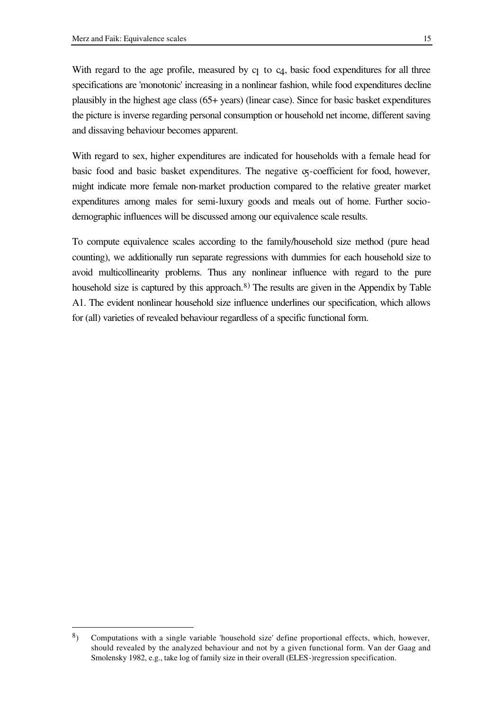l

With regard to the age profile, measured by  $c_1$  to  $c_4$ , basic food expenditures for all three specifications are 'monotonic' increasing in a nonlinear fashion, while food expenditures decline

plausibly in the highest age class (65+ years) (linear case). Since for basic basket expenditures the picture is inverse regarding personal consumption or household net income, different saving and dissaving behaviour becomes apparent.

With regard to sex, higher expenditures are indicated for households with a female head for basic food and basic basket expenditures. The negative  $\sigma$ -coefficient for food, however, might indicate more female non-market production compared to the relative greater market expenditures among males for semi-luxury goods and meals out of home. Further sociodemographic influences will be discussed among our equivalence scale results.

To compute equivalence scales according to the family/household size method (pure head counting), we additionally run separate regressions with dummies for each household size to avoid multicollinearity problems. Thus any nonlinear influence with regard to the pure household size is captured by this approach.<sup>8)</sup> The results are given in the Appendix by Table A1. The evident nonlinear household size influence underlines our specification, which allows for (all) varieties of revealed behaviour regardless of a specific functional form.

<sup>8</sup>) Computations with a single variable 'household size' define proportional effects, which, however, should revealed by the analyzed behaviour and not by a given functional form. Van der Gaag and Smolensky 1982, e.g., take log of family size in their overall (ELES-)regression specification.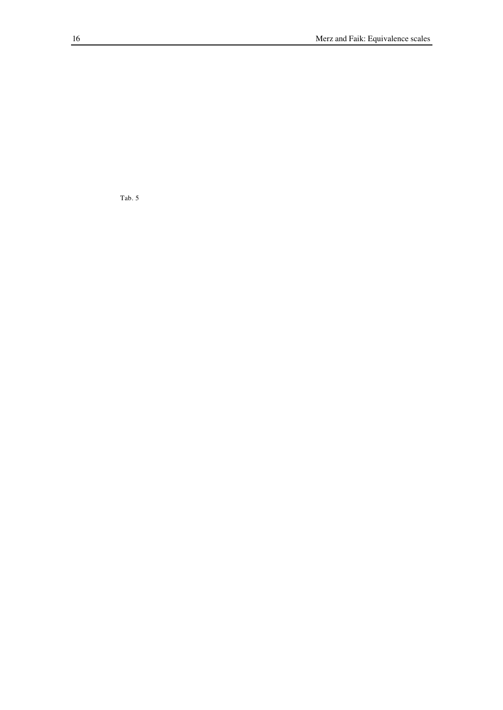Tab. 5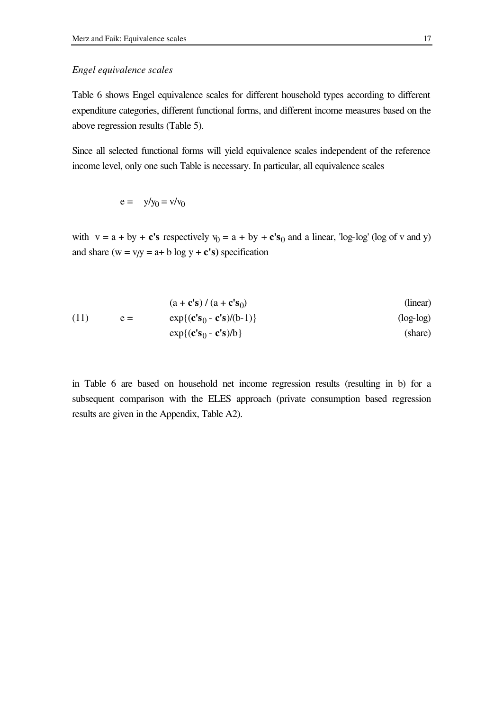# *Engel equivalence scales*

Table 6 shows Engel equivalence scales for different household types according to different expenditure categories, different functional forms, and different income measures based on the above regression results (Table 5).

Since all selected functional forms will yield equivalence scales independent of the reference income level, only one such Table is necessary. In particular, all equivalence scales

$$
e = y/y_0 = v/v_0
$$

with  $v = a + by + c's$  respectively  $v_0 = a + by + c's_0$  and a linear, 'log-log' (log of v and y) and share  $(w = v/y = a + b \log y + c's)$  specification

(11) 
$$
\begin{aligned}\n &\begin{bmatrix}\n &\text{(a + c's) / (a + c's_0)} \\
&\text{(b) } \\
&\text{(c) } \\
&\text{(c) } \\
&\text{(d) } \\
&\text{(e)} \\
&\text{(f) } \\
&\text{(h) } \\
&\text{(h) } \\
&\text{(h) } \\
&\text{(h) } \\
&\text{(h) } \\
&\text{(h) } \\
&\text{(h) } \\
&\text{(h) } \\
&\text{(h) } \\
&\text{(h) } \\
&\text{(h) } \\
&\text{(h) } \\
&\text{(h) } \\
&\text{(h) } \\
&\text{(h) } \\
&\text{(h) } \\
&\text{(h) } \\
&\text{(h) } \\
&\text{(h) } \\
&\text{(h) } \\
&\text{(h) } \\
&\text{(h) } \\
&\text{(i) } \\
&\text{(i) } \\
&\text{(i) } \\
&\text{(i) } \\
&\text{(i) } \\
&\text{(i) } \\
&\text{(ii) } \\
&\text{(iii) } \\
&\text{(iv) } \\
&\text{(v) } \\
&\text{(v) } \\
&\text{(v) } \\
&\text{(v) } \\
&\text{(v) } \\
&\text{(v) } \\
&\text{(v) } \\
&\text{(v) } \\
&\text{(v) } \\
&\text{(v) } \\
&\text{(v) } \\
&\text{(v) } \\
&\text{(v) } \\
&\text{(v) } \\
&\text{(v) } \\
&\text{(v) } \\
&\text{(v) } \\
&\text{(v) } \\
&\text{(v) } \\
&\text{(v) } \\
&\text{(v) } \\
&\text{(v) } \\
&\text{(v) } \\
&\text{(v) } \\
&\text{(v) } \\
&\text{(v) } \\
&\text{(v) } \\
&\text{(v) } \\
&\text{(v) } \\
&\text{(v) } \\
&\text{(v) } \\
&\text{(v) } \\
&\text{(v) } \\
&\text{(v) } \\
&\text{(v) } \\
&\text{(v) } \\
&\text{(v) } \\
&\text{(v) } \\
&\text{(v) } \\
&\text{(v) } \\
&\text{(v) } \\
&\text{(v) } \\
&\text{(v) } \\
&
$$

in Table 6 are based on household net income regression results (resulting in b) for a subsequent comparison with the ELES approach (private consumption based regression results are given in the Appendix, Table A2).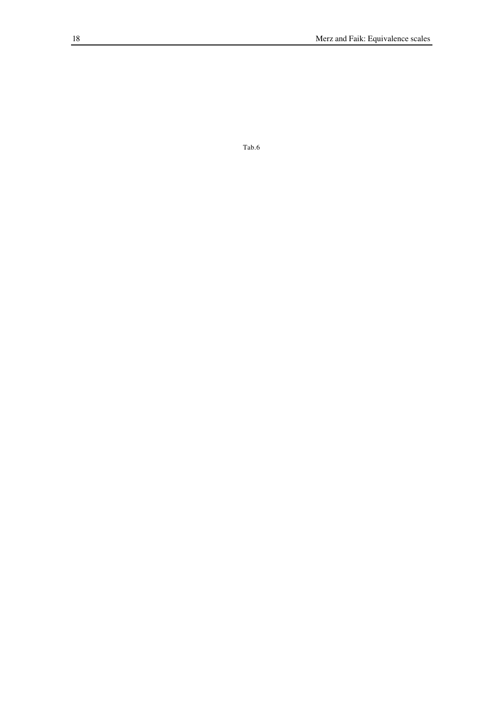$Tab.6$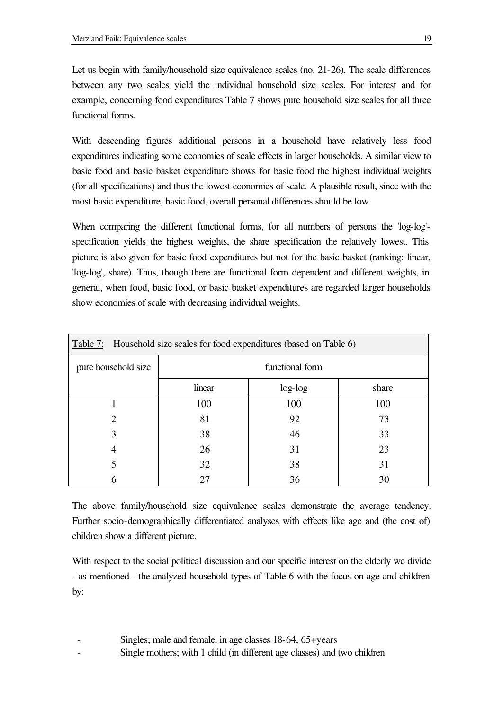Let us begin with family/household size equivalence scales (no. 21-26). The scale differences between any two scales yield the individual household size scales. For interest and for example, concerning food expenditures Table 7 shows pure household size scales for all three functional forms.

With descending figures additional persons in a household have relatively less food expenditures indicating some economies of scale effects in larger households. A similar view to basic food and basic basket expenditure shows for basic food the highest individual weights (for all specifications) and thus the lowest economies of scale. A plausible result, since with the most basic expenditure, basic food, overall personal differences should be low.

When comparing the different functional forms, for all numbers of persons the 'log-log' specification yields the highest weights, the share specification the relatively lowest. This picture is also given for basic food expenditures but not for the basic basket (ranking: linear, 'log-log', share). Thus, though there are functional form dependent and different weights, in general, when food, basic food, or basic basket expenditures are regarded larger households show economies of scale with decreasing individual weights.

| Table 7: Household size scales for food expenditures (based on Table 6) |        |           |       |  |  |  |  |  |  |  |  |
|-------------------------------------------------------------------------|--------|-----------|-------|--|--|--|--|--|--|--|--|
| pure household size<br>functional form                                  |        |           |       |  |  |  |  |  |  |  |  |
|                                                                         | linear | $log-log$ | share |  |  |  |  |  |  |  |  |
|                                                                         | 100    | 100       | 100   |  |  |  |  |  |  |  |  |
| 2                                                                       | 81     | 92        | 73    |  |  |  |  |  |  |  |  |
| 3                                                                       | 38     | 46        | 33    |  |  |  |  |  |  |  |  |
| 4                                                                       | 26     | 31        | 23    |  |  |  |  |  |  |  |  |
|                                                                         | 32     | 38        | 31    |  |  |  |  |  |  |  |  |
|                                                                         | 27     | 36        | 30    |  |  |  |  |  |  |  |  |

The above family/household size equivalence scales demonstrate the average tendency. Further socio-demographically differentiated analyses with effects like age and (the cost of) children show a different picture.

With respect to the social political discussion and our specific interest on the elderly we divide - as mentioned - the analyzed household types of Table 6 with the focus on age and children by:

- Singles; male and female, in age classes 18-64, 65+years
- Single mothers; with 1 child (in different age classes) and two children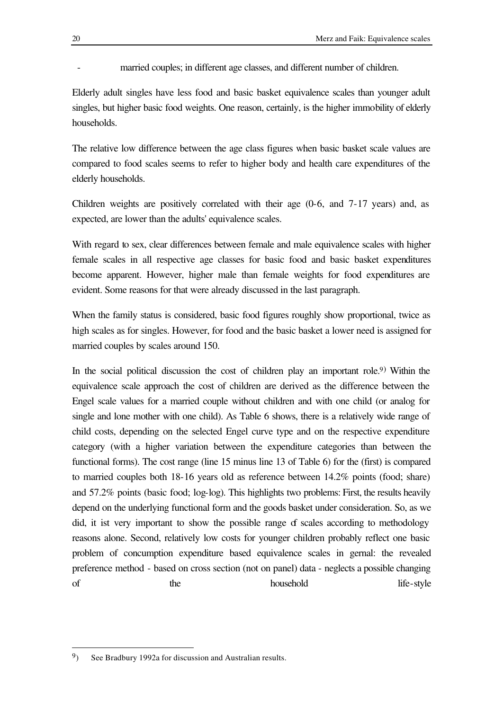# married couples; in different age classes, and different number of children.

Elderly adult singles have less food and basic basket equivalence scales than younger adult singles, but higher basic food weights. One reason, certainly, is the higher immobility of elderly households.

The relative low difference between the age class figures when basic basket scale values are compared to food scales seems to refer to higher body and health care expenditures of the elderly households.

Children weights are positively correlated with their age (0-6, and 7-17 years) and, as expected, are lower than the adults' equivalence scales.

With regard to sex, clear differences between female and male equivalence scales with higher female scales in all respective age classes for basic food and basic basket expenditures become apparent. However, higher male than female weights for food expenditures are evident. Some reasons for that were already discussed in the last paragraph.

When the family status is considered, basic food figures roughly show proportional, twice as high scales as for singles. However, for food and the basic basket a lower need is assigned for married couples by scales around 150.

In the social political discussion the cost of children play an important role.<sup>9)</sup> Within the equivalence scale approach the cost of children are derived as the difference between the Engel scale values for a married couple without children and with one child (or analog for single and lone mother with one child). As Table 6 shows, there is a relatively wide range of child costs, depending on the selected Engel curve type and on the respective expenditure category (with a higher variation between the expenditure categories than between the functional forms). The cost range (line 15 minus line 13 of Table 6) for the (first) is compared to married couples both 18-16 years old as reference between 14.2% points (food; share) and 57.2% points (basic food; log-log). This highlights two problems: First, the results heavily depend on the underlying functional form and the goods basket under consideration. So, as we did, it ist very important to show the possible range of scales according to methodology reasons alone. Second, relatively low costs for younger children probably reflect one basic problem of concumption expenditure based equivalence scales in gernal: the revealed preference method - based on cross section (not on panel) data - neglects a possible changing of the the household life-style

l

<sup>9</sup>) See Bradbury 1992a for discussion and Australian results.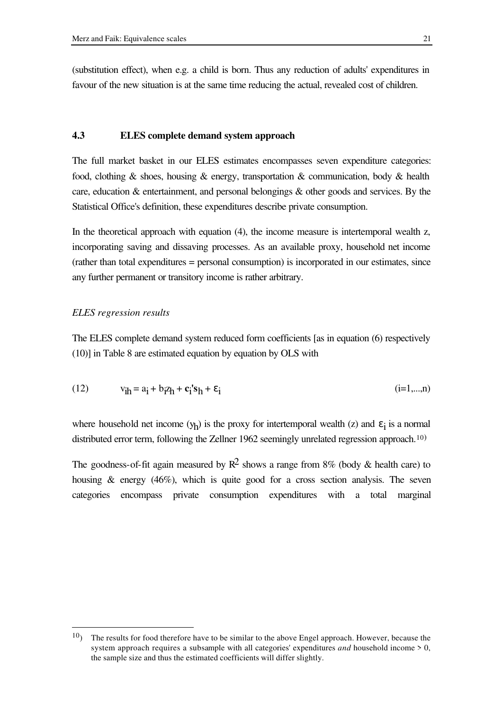(substitution effect), when e.g. a child is born. Thus any reduction of adults' expenditures in favour of the new situation is at the same time reducing the actual, revealed cost of children.

# **4.3 ELES complete demand system approach**

The full market basket in our ELES estimates encompasses seven expenditure categories: food, clothing & shoes, housing & energy, transportation & communication, body & health care, education & entertainment, and personal belongings & other goods and services. By the Statistical Office's definition, these expenditures describe private consumption.

In the theoretical approach with equation (4), the income measure is intertemporal wealth z, incorporating saving and dissaving processes. As an available proxy, household net income (rather than total expenditures = personal consumption) is incorporated in our estimates, since any further permanent or transitory income is rather arbitrary.

### *ELES regression results*

l

The ELES complete demand system reduced form coefficients [as in equation (6) respectively (10)] in Table 8 are estimated equation by equation by OLS with

$$
(12) \t\t\t $v_{\mathbf{ih}} = a_{\mathbf{i}} + b_{\mathbf{i}} z_{\mathbf{h}} + c_{\mathbf{i}} s_{\mathbf{h}} + \varepsilon_{\mathbf{i}}$ \n(12) \t\t\t $(\mathbf{i} = 1,...,\mathbf{n})$
$$

where household net income  $(y_h)$  is the proxy for intertemporal wealth (z) and  $\varepsilon_i$  is a normal distributed error term, following the Zellner 1962 seemingly unrelated regression approach.<sup>10)</sup>

The goodness-of-fit again measured by  $\mathbb{R}^2$  shows a range from 8% (body & health care) to housing  $\&$  energy (46%), which is quite good for a cross section analysis. The seven categories encompass private consumption expenditures with a total marginal

 $10$ ) The results for food therefore have to be similar to the above Engel approach. However, because the system approach requires a subsample with all categories' expenditures *and* household income > 0, the sample size and thus the estimated coefficients will differ slightly.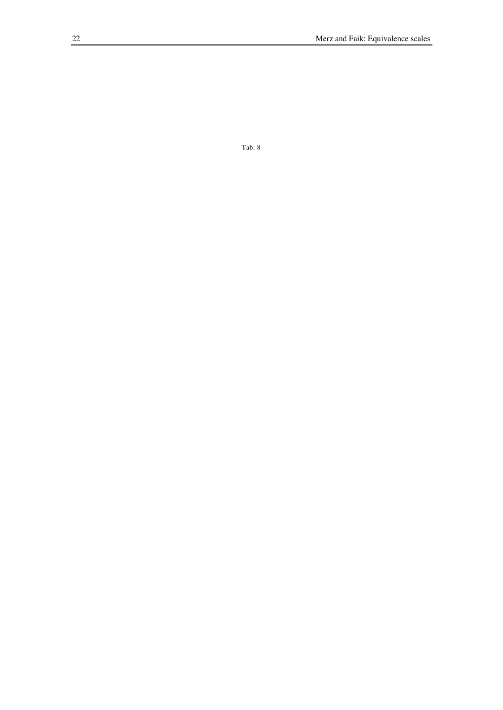Tab. 8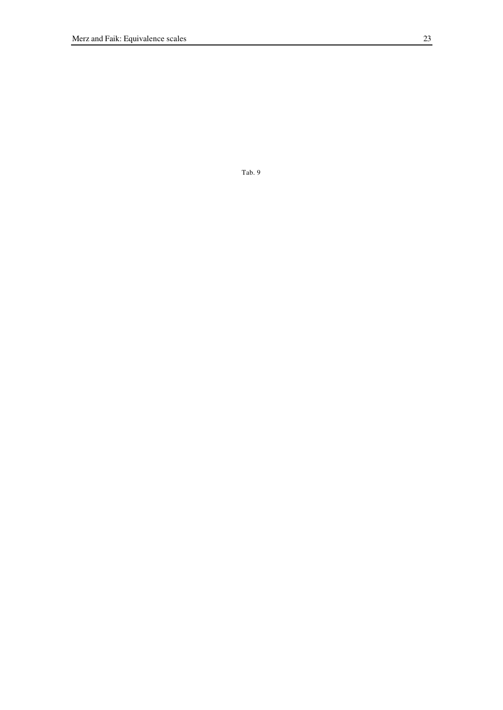Tab. 9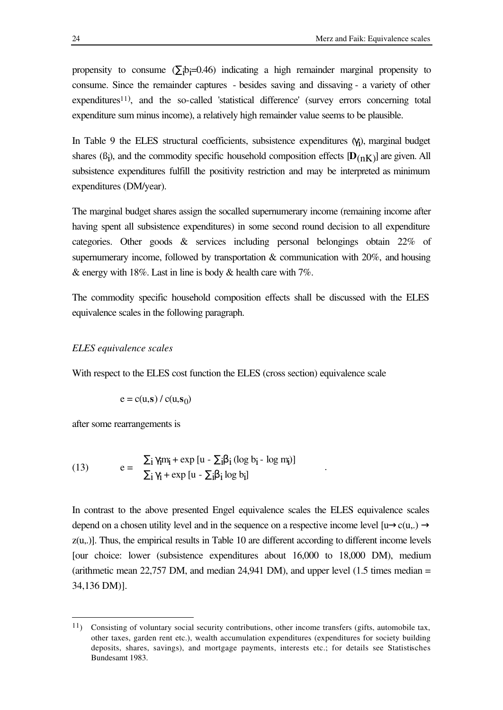propensity to consume  $(\Sigma_i b_i=0.46)$  indicating a high remainder marginal propensity to consume. Since the remainder captures - besides saving and dissaving - a variety of other expenditures<sup>11</sup>), and the so-called 'statistical difference' (survey errors concerning total expenditure sum minus income), a relatively high remainder value seems to be plausible.

In Table 9 the ELES structural coefficients, subsistence expenditures  $(\gamma_i)$ , marginal budget shares  $(\beta_i)$ , and the commodity specific household composition effects  $[D_{(nK)}]$  are given. All subsistence expenditures fulfill the positivity restriction and may be interpreted as minimum expenditures (DM/year).

The marginal budget shares assign the socalled supernumerary income (remaining income after having spent all subsistence expenditures) in some second round decision to all expenditure categories. Other goods & services including personal belongings obtain 22% of supernumerary income, followed by transportation  $\&$  communication with 20%, and housing  $\&$  energy with 18%. Last in line is body  $\&$  health care with 7%.

The commodity specific household composition effects shall be discussed with the ELES equivalence scales in the following paragraph.

### *ELES equivalence scales*

With respect to the ELES cost function the ELES (cross section) equivalence scale

$$
e = c(u, s) / c(u, s_0)
$$

after some rearrangements is

l

(13) 
$$
e = \frac{\sum_{i} \gamma_{i} m_{i} + \exp [u - \sum_{i} \beta_{i} (\log b_{i} - \log m_{i})]}{\sum_{i} \gamma_{i} + \exp [u - \sum_{i} \beta_{i} \log b_{i}]}
$$

In contrast to the above presented Engel equivalence scales the ELES equivalence scales depend on a chosen utility level and in the sequence on a respective income level  $[\mu \rightarrow c(u, .) \rightarrow$ z(u,.)]. Thus, the empirical results in Table 10 are different according to different income levels [our choice: lower (subsistence expenditures about 16,000 to 18,000 DM), medium (arithmetic mean  $22,757$  DM, and median  $24,941$  DM), and upper level (1.5 times median = 34,136 DM)].

.

<sup>11</sup>) Consisting of voluntary social security contributions, other income transfers (gifts, automobile tax, other taxes, garden rent etc.), wealth accumulation expenditures (expenditures for society building deposits, shares, savings), and mortgage payments, interests etc.; for details see Statistisches Bundesamt 1983.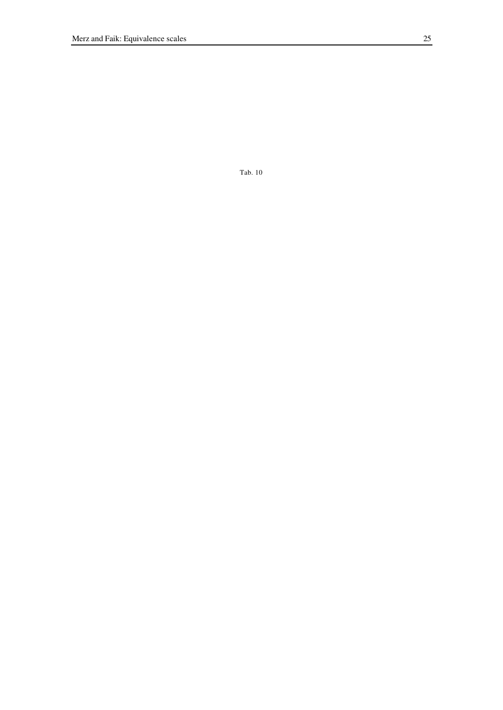Tab. 10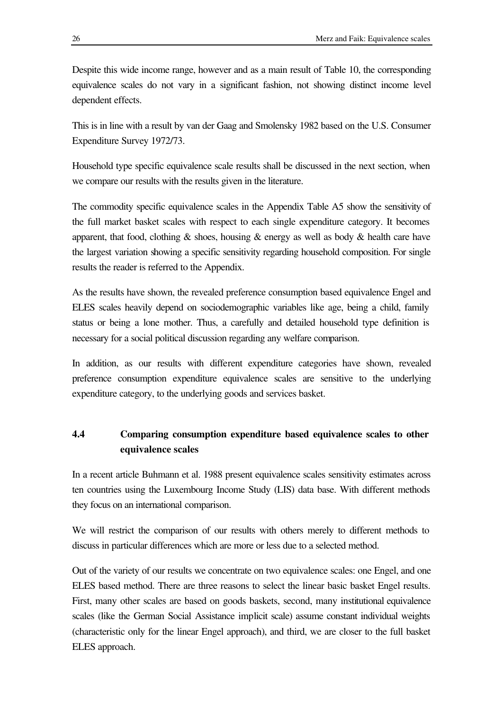Despite this wide income range, however and as a main result of Table 10, the corresponding equivalence scales do not vary in a significant fashion, not showing distinct income level dependent effects.

This is in line with a result by van der Gaag and Smolensky 1982 based on the U.S. Consumer Expenditure Survey 1972/73.

Household type specific equivalence scale results shall be discussed in the next section, when we compare our results with the results given in the literature.

The commodity specific equivalence scales in the Appendix Table A5 show the sensitivity of the full market basket scales with respect to each single expenditure category. It becomes apparent, that food, clothing  $\&$  shoes, housing  $\&$  energy as well as body  $\&$  health care have the largest variation showing a specific sensitivity regarding household composition. For single results the reader is referred to the Appendix.

As the results have shown, the revealed preference consumption based equivalence Engel and ELES scales heavily depend on sociodemographic variables like age, being a child, family status or being a lone mother. Thus, a carefully and detailed household type definition is necessary for a social political discussion regarding any welfare comparison.

In addition, as our results with different expenditure categories have shown, revealed preference consumption expenditure equivalence scales are sensitive to the underlying expenditure category, to the underlying goods and services basket.

# **4.4 Comparing consumption expenditure based equivalence scales to other equivalence scales**

In a recent article Buhmann et al. 1988 present equivalence scales sensitivity estimates across ten countries using the Luxembourg Income Study (LIS) data base. With different methods they focus on an international comparison.

We will restrict the comparison of our results with others merely to different methods to discuss in particular differences which are more or less due to a selected method.

Out of the variety of our results we concentrate on two equivalence scales: one Engel, and one ELES based method. There are three reasons to select the linear basic basket Engel results. First, many other scales are based on goods baskets, second, many institutional equivalence scales (like the German Social Assistance implicit scale) assume constant individual weights (characteristic only for the linear Engel approach), and third, we are closer to the full basket ELES approach.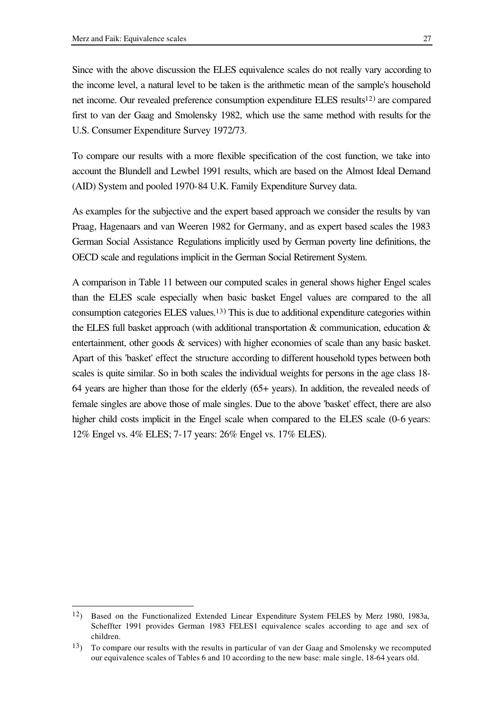l

Since with the above discussion the ELES equivalence scales do not really vary according to the income level, a natural level to be taken is the arithmetic mean of the sample's household net income. Our revealed preference consumption expenditure ELES results<sup>12)</sup> are compared first to van der Gaag and Smolensky 1982, which use the same method with results for the U.S. Consumer Expenditure Survey 1972/73.

To compare our results with a more flexible specification of the cost function, we take into account the Blundell and Lewbel 1991 results, which are based on the Almost Ideal Demand (AID) System and pooled 1970-84 U.K. Family Expenditure Survey data.

As examples for the subjective and the expert based approach we consider the results by van Praag, Hagenaars and van Weeren 1982 for Germany, and as expert based scales the 1983 German Social Assistance Regulations implicitly used by German poverty line definitions, the OECD scale and regulations implicit in the German Social Retirement System.

A comparison in Table 11 between our computed scales in general shows higher Engel scales than the ELES scale especially when basic basket Engel values are compared to the all consumption categories ELES values.<sup>13</sup>) This is due to additional expenditure categories within the ELES full basket approach (with additional transportation & communication, education & entertainment, other goods & services) with higher economies of scale than any basic basket. Apart of this 'basket' effect the structure according to different household types between both scales is quite similar. So in both scales the individual weights for persons in the age class 18- 64 years are higher than those for the elderly (65+ years). In addition, the revealed needs of female singles are above those of male singles. Due to the above 'basket' effect, there are also higher child costs implicit in the Engel scale when compared to the ELES scale (0-6 years: 12% Engel vs. 4% ELES; 7-17 years: 26% Engel vs. 17% ELES).

<sup>12</sup>) Based on the Functionalized Extended Linear Expenditure System FELES by Merz 1980, 1983a, Scheffter 1991 provides German 1983 FELES1 equivalence scales according to age and sex of children.

<sup>13</sup>) To compare our results with the results in particular of van der Gaag and Smolensky we recomputed our equivalence scales of Tables 6 and 10 according to the new base: male single, 18-64 years old.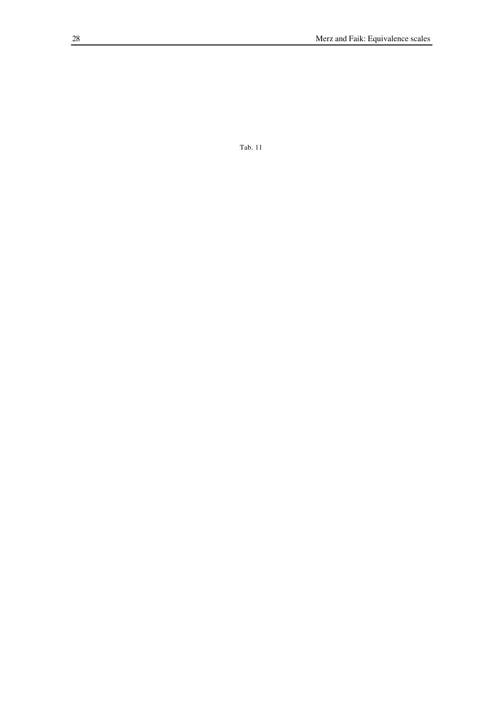Tab. 11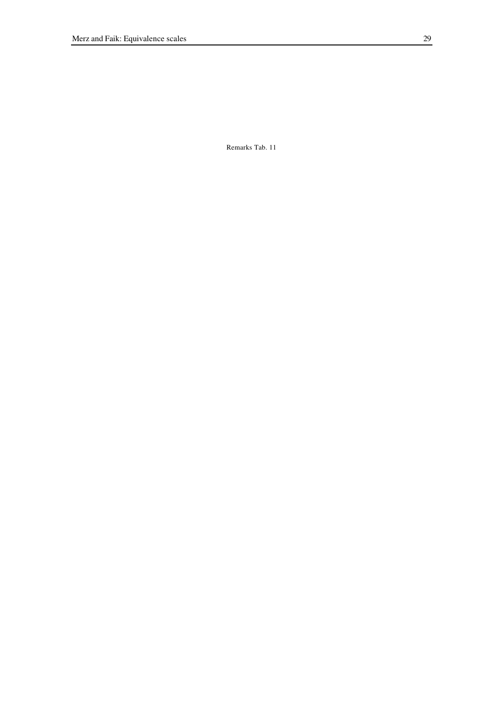Remarks Tab. 11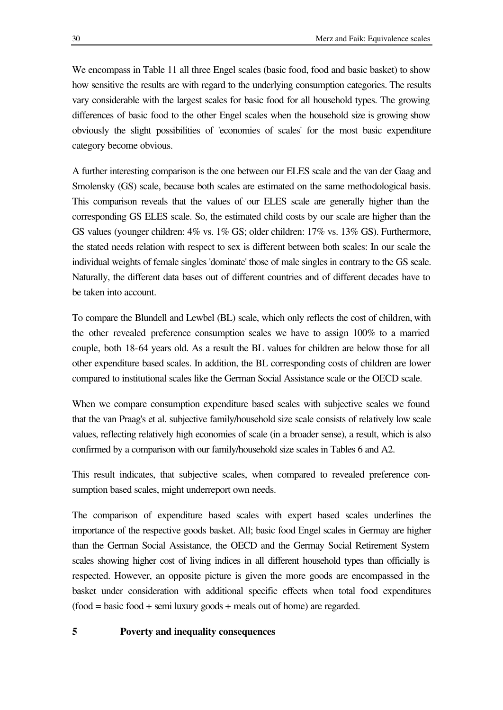We encompass in Table 11 all three Engel scales (basic food, food and basic basket) to show how sensitive the results are with regard to the underlying consumption categories. The results vary considerable with the largest scales for basic food for all household types. The growing differences of basic food to the other Engel scales when the household size is growing show obviously the slight possibilities of 'economies of scales' for the most basic expenditure category become obvious.

A further interesting comparison is the one between our ELES scale and the van der Gaag and Smolensky (GS) scale, because both scales are estimated on the same methodological basis. This comparison reveals that the values of our ELES scale are generally higher than the corresponding GS ELES scale. So, the estimated child costs by our scale are higher than the GS values (younger children: 4% vs. 1% GS; older children: 17% vs. 13% GS). Furthermore, the stated needs relation with respect to sex is different between both scales: In our scale the individual weights of female singles 'dominate' those of male singles in contrary to the GS scale. Naturally, the different data bases out of different countries and of different decades have to be taken into account.

To compare the Blundell and Lewbel (BL) scale, which only reflects the cost of children, with the other revealed preference consumption scales we have to assign 100% to a married couple, both 18-64 years old. As a result the BL values for children are below those for all other expenditure based scales. In addition, the BL corresponding costs of children are lower compared to institutional scales like the German Social Assistance scale or the OECD scale.

When we compare consumption expenditure based scales with subjective scales we found that the van Praag's et al. subjective family/household size scale consists of relatively low scale values, reflecting relatively high economies of scale (in a broader sense), a result, which is also confirmed by a comparison with our family/household size scales in Tables 6 and A2.

This result indicates, that subjective scales, when compared to revealed preference consumption based scales, might underreport own needs.

The comparison of expenditure based scales with expert based scales underlines the importance of the respective goods basket. All; basic food Engel scales in Germay are higher than the German Social Assistance, the OECD and the Germay Social Retirement System scales showing higher cost of living indices in all different household types than officially is respected. However, an opposite picture is given the more goods are encompassed in the basket under consideration with additional specific effects when total food expenditures  $(food = basic food + semi luxury goods + meals out of home) are regarded.$ 

# **5 Poverty and inequality consequences**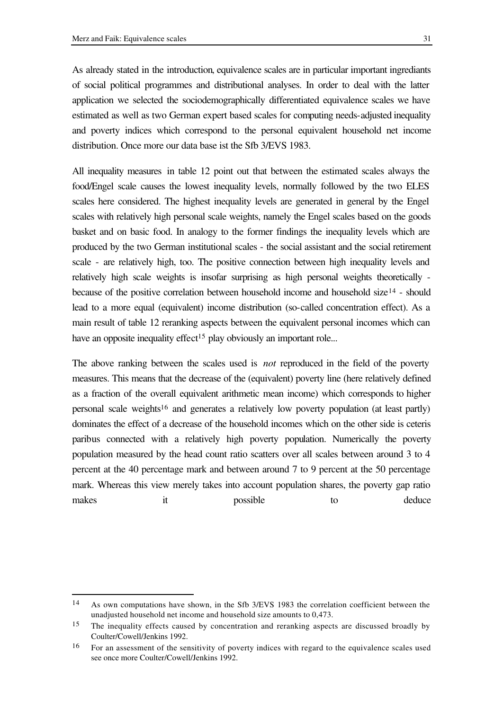l

As already stated in the introduction, equivalence scales are in particular important ingrediants of social political programmes and distributional analyses. In order to deal with the latter

application we selected the sociodemographically differentiated equivalence scales we have estimated as well as two German expert based scales for computing needs-adjusted inequality and poverty indices which correspond to the personal equivalent household net income distribution. Once more our data base ist the Sfb 3/EVS 1983.

All inequality measures in table 12 point out that between the estimated scales always the food/Engel scale causes the lowest inequality levels, normally followed by the two ELES scales here considered. The highest inequality levels are generated in general by the Engel scales with relatively high personal scale weights, namely the Engel scales based on the goods basket and on basic food. In analogy to the former findings the inequality levels which are produced by the two German institutional scales - the social assistant and the social retirement scale - are relatively high, too. The positive connection between high inequality levels and relatively high scale weights is insofar surprising as high personal weights theoretically because of the positive correlation between household income and household size<sup>14</sup> - should lead to a more equal (equivalent) income distribution (so-called concentration effect). As a main result of table 12 reranking aspects between the equivalent personal incomes which can have an opposite inequality effect<sup>15</sup> play obviously an important role...

The above ranking between the scales used is *not* reproduced in the field of the poverty measures. This means that the decrease of the (equivalent) poverty line (here relatively defined as a fraction of the overall equivalent arithmetic mean income) which corresponds to higher personal scale weights<sup>16</sup> and generates a relatively low poverty population (at least partly) dominates the effect of a decrease of the household incomes which on the other side is ceteris paribus connected with a relatively high poverty population. Numerically the poverty population measured by the head count ratio scatters over all scales between around 3 to 4 percent at the 40 percentage mark and between around 7 to 9 percent at the 50 percentage mark. Whereas this view merely takes into account population shares, the poverty gap ratio makes it possible to deduce

<sup>14</sup> As own computations have shown, in the Sfb 3/EVS 1983 the correlation coefficient between the unadjusted household net income and household size amounts to 0,473.

<sup>&</sup>lt;sup>15</sup> The inequality effects caused by concentration and reranking aspects are discussed broadly by Coulter/Cowell/Jenkins 1992.

<sup>16</sup> For an assessment of the sensitivity of poverty indices with regard to the equivalence scales used see once more Coulter/Cowell/Jenkins 1992.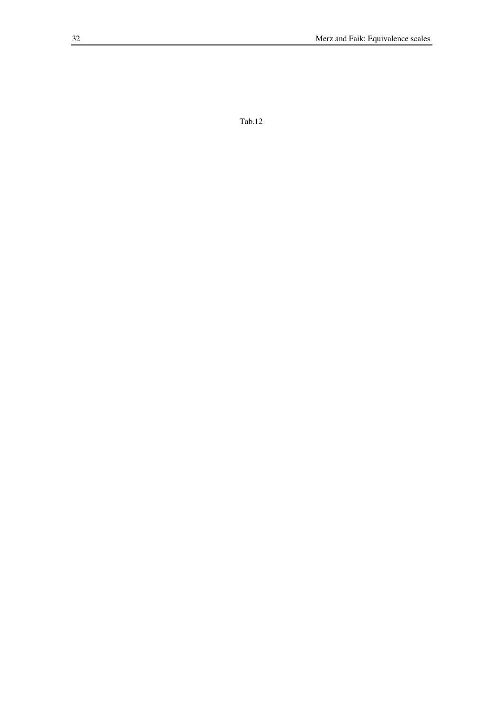$Tab.12$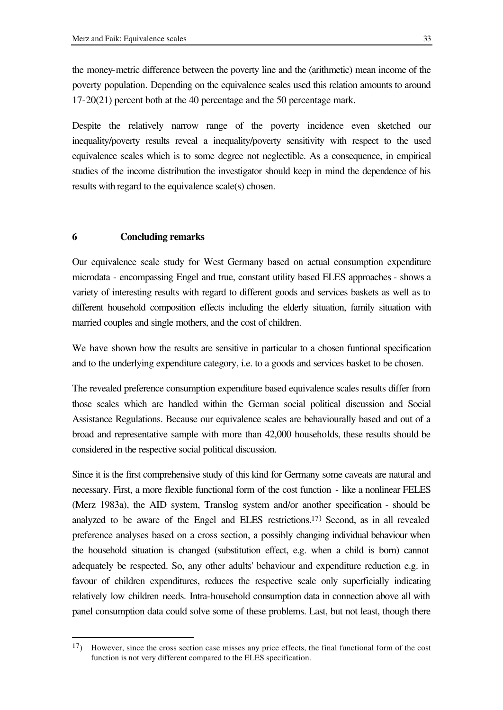the money-metric difference between the poverty line and the (arithmetic) mean income of the poverty population. Depending on the equivalence scales used this relation amounts to around 17-20(21) percent both at the 40 percentage and the 50 percentage mark.

Despite the relatively narrow range of the poverty incidence even sketched our inequality/poverty results reveal a inequality/poverty sensitivity with respect to the used equivalence scales which is to some degree not neglectible. As a consequence, in empirical studies of the income distribution the investigator should keep in mind the dependence of his results with regard to the equivalence scale(s) chosen.

### **6 Concluding remarks**

l

Our equivalence scale study for West Germany based on actual consumption expenditure microdata - encompassing Engel and true, constant utility based ELES approaches - shows a variety of interesting results with regard to different goods and services baskets as well as to different household composition effects including the elderly situation, family situation with married couples and single mothers, and the cost of children.

We have shown how the results are sensitive in particular to a chosen funtional specification and to the underlying expenditure category, i.e. to a goods and services basket to be chosen.

The revealed preference consumption expenditure based equivalence scales results differ from those scales which are handled within the German social political discussion and Social Assistance Regulations. Because our equivalence scales are behaviourally based and out of a broad and representative sample with more than 42,000 households, these results should be considered in the respective social political discussion.

Since it is the first comprehensive study of this kind for Germany some caveats are natural and necessary. First, a more flexible functional form of the cost function - like a nonlinear FELES (Merz 1983a), the AID system, Translog system and/or another specification - should be analyzed to be aware of the Engel and ELES restrictions.<sup>17</sup>) Second, as in all revealed preference analyses based on a cross section, a possibly changing individual behaviour when the household situation is changed (substitution effect, e.g. when a child is born) cannot adequately be respected. So, any other adults' behaviour and expenditure reduction e.g. in favour of children expenditures, reduces the respective scale only superficially indicating relatively low children needs. Intra-household consumption data in connection above all with panel consumption data could solve some of these problems. Last, but not least, though there

<sup>17</sup>) However, since the cross section case misses any price effects, the final functional form of the cost function is not very different compared to the ELES specification.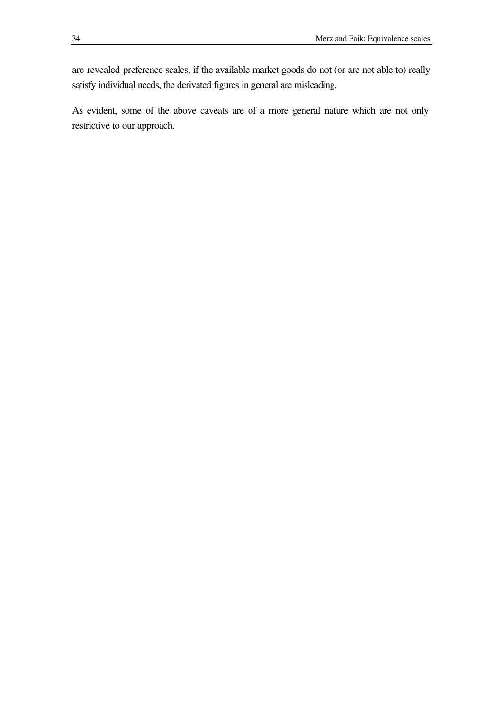are revealed preference scales, if the available market goods do not (or are not able to) really satisfy individual needs, the derivated figures in general are misleading.

As evident, some of the above caveats are of a more general nature which are not only restrictive to our approach.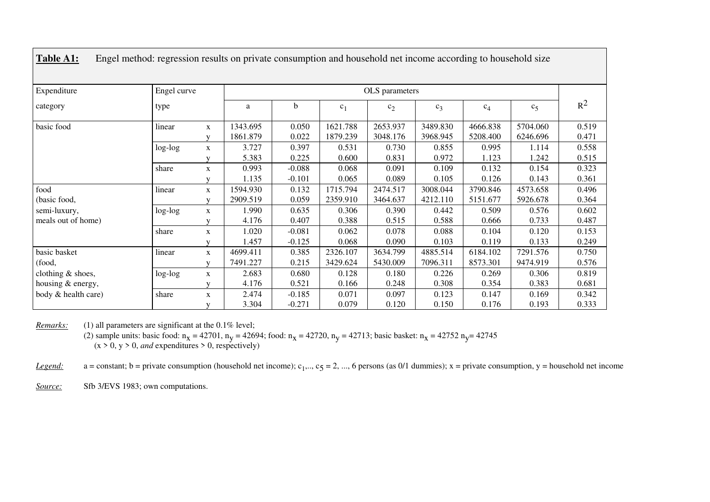| Expenditure         | Engel curve |              | OLS parameters |             |                |          |          |          |          |       |
|---------------------|-------------|--------------|----------------|-------------|----------------|----------|----------|----------|----------|-------|
| category            | type        |              | a              | $\mathbf b$ | c <sub>1</sub> | $c_2$    | $c_3$    | $c_4$    | $c_5$    | $R^2$ |
| basic food          | linear      | $\mathbf X$  | 1343.695       | 0.050       | 1621.788       | 2653.937 | 3489.830 | 4666.838 | 5704.060 | 0.519 |
|                     |             | V            | 1861.879       | 0.022       | 1879.239       | 3048.176 | 3968.945 | 5208.400 | 6246.696 | 0.471 |
|                     | log-log     | X            | 3.727          | 0.397       | 0.531          | 0.730    | 0.855    | 0.995    | 1.114    | 0.558 |
|                     |             | v            | 5.383          | 0.225       | 0.600          | 0.831    | 0.972    | 1.123    | 1.242    | 0.515 |
|                     | share       | $\mathbf X$  | 0.993          | $-0.088$    | 0.068          | 0.091    | 0.109    | 0.132    | 0.154    | 0.323 |
|                     |             | v            | 1.135          | $-0.101$    | 0.065          | 0.089    | 0.105    | 0.126    | 0.143    | 0.361 |
| food                | linear      | X            | 1594.930       | 0.132       | 1715.794       | 2474.517 | 3008.044 | 3790.846 | 4573.658 | 0.496 |
| (basic food,        |             | V            | 2909.519       | 0.059       | 2359.910       | 3464.637 | 4212.110 | 5151.677 | 5926.678 | 0.364 |
| semi-luxury,        | $log-log$   | $\mathbf X$  | 1.990          | 0.635       | 0.306          | 0.390    | 0.442    | 0.509    | 0.576    | 0.602 |
| meals out of home)  |             | v            | 4.176          | 0.407       | 0.388          | 0.515    | 0.588    | 0.666    | 0.733    | 0.487 |
|                     | share       | $\mathbf X$  | 1.020          | $-0.081$    | 0.062          | 0.078    | 0.088    | 0.104    | 0.120    | 0.153 |
|                     |             | $\mathbf{V}$ | 1.457          | $-0.125$    | 0.068          | 0.090    | 0.103    | 0.119    | 0.133    | 0.249 |
| basic basket        | linear      | $\mathbf X$  | 4699.411       | 0.385       | 2326.107       | 3634.799 | 4885.514 | 6184.102 | 7291.576 | 0.750 |
| (food,              |             | $\mathbf{V}$ | 7491.227       | 0.215       | 3429.624       | 5430.009 | 7096.311 | 8573.301 | 9474.919 | 0.576 |
| clothing & shoes,   | log-log     | X            | 2.683          | 0.680       | 0.128          | 0.180    | 0.226    | 0.269    | 0.306    | 0.819 |
| housing & energy,   |             | V            | 4.176          | 0.521       | 0.166          | 0.248    | 0.308    | 0.354    | 0.383    | 0.681 |
| body & health care) | share       | $\mathbf X$  | 2.474          | $-0.185$    | 0.071          | 0.097    | 0.123    | 0.147    | 0.169    | 0.342 |
|                     |             |              | 3.304          | $-0.271$    | 0.079          | 0.120    | 0.150    | 0.176    | 0.193    | 0.333 |

**Table A1:** Engel method: regression results on private consumption and household net income according to household size

*Remarks:* (1) all parameters are significant at the 0.1% level;

(2) sample units: basic food:  $n_x = 42701$ ,  $n_y = 42694$ ; food:  $n_x = 42720$ ,  $n_y = 42713$ ; basic basket:  $n_x = 42752$   $n_y = 42745$  $(x > 0, y > 0, and$  expenditures  $> 0$ , respectively)

*Legend*: a = constant; b = private consumption (household net income); c<sub>1</sub>,.., c<sub>5</sub> = 2, ..., 6 persons (as 0/1 dummies); x = private consumption, y = household net income

*Source:* Sfb 3/EVS 1983; own computations.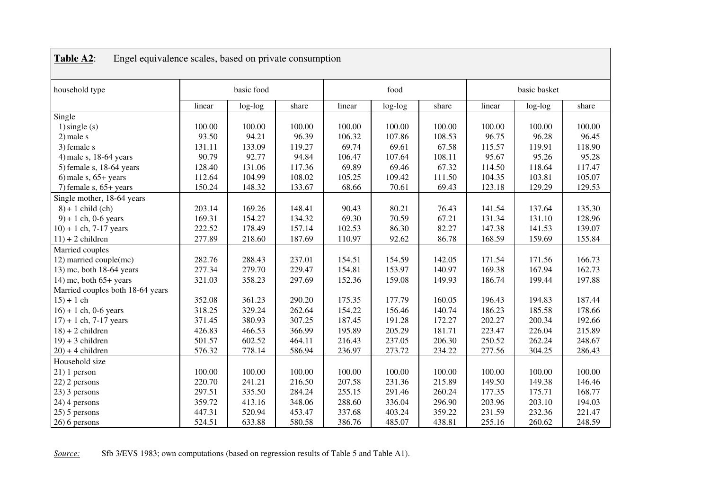| household type                   | basic food |         |        | food   |           |        | basic basket |         |        |
|----------------------------------|------------|---------|--------|--------|-----------|--------|--------------|---------|--------|
|                                  | linear     | log-log | share  | linear | $log-log$ | share  | linear       | log-log | share  |
| Single                           |            |         |        |        |           |        |              |         |        |
| $1)$ single $(s)$                | 100.00     | 100.00  | 100.00 | 100.00 | 100.00    | 100.00 | 100.00       | 100.00  | 100.00 |
| $2$ ) male s                     | 93.50      | 94.21   | 96.39  | 106.32 | 107.86    | 108.53 | 96.75        | 96.28   | 96.45  |
| 3) female s                      | 131.11     | 133.09  | 119.27 | 69.74  | 69.61     | 67.58  | 115.57       | 119.91  | 118.90 |
| 4) male s, 18-64 years           | 90.79      | 92.77   | 94.84  | 106.47 | 107.64    | 108.11 | 95.67        | 95.26   | 95.28  |
| $5)$ female s, 18-64 years       | 128.40     | 131.06  | 117.36 | 69.89  | 69.46     | 67.32  | 114.50       | 118.64  | 117.47 |
| 6) male s, $65+$ years           | 112.64     | 104.99  | 108.02 | 105.25 | 109.42    | 111.50 | 104.35       | 103.81  | 105.07 |
| 7) female $s$ , 65+ years        | 150.24     | 148.32  | 133.67 | 68.66  | 70.61     | 69.43  | 123.18       | 129.29  | 129.53 |
| Single mother, 18-64 years       |            |         |        |        |           |        |              |         |        |
| $8$ + 1 child (ch)               | 203.14     | 169.26  | 148.41 | 90.43  | 80.21     | 76.43  | 141.54       | 137.64  | 135.30 |
| $9$ ) + 1 ch, 0-6 years          | 169.31     | 154.27  | 134.32 | 69.30  | 70.59     | 67.21  | 131.34       | 131.10  | 128.96 |
| $10) + 1$ ch, 7-17 years         | 222.52     | 178.49  | 157.14 | 102.53 | 86.30     | 82.27  | 147.38       | 141.53  | 139.07 |
| $11$ ) + 2 children              | 277.89     | 218.60  | 187.69 | 110.97 | 92.62     | 86.78  | 168.59       | 159.69  | 155.84 |
| Married couples                  |            |         |        |        |           |        |              |         |        |
| 12) married couple(mc)           | 282.76     | 288.43  | 237.01 | 154.51 | 154.59    | 142.05 | 171.54       | 171.56  | 166.73 |
| 13) mc, both 18-64 years         | 277.34     | 279.70  | 229.47 | 154.81 | 153.97    | 140.97 | 169.38       | 167.94  | 162.73 |
| 14) mc, both $65+$ years         | 321.03     | 358.23  | 297.69 | 152.36 | 159.08    | 149.93 | 186.74       | 199.44  | 197.88 |
| Married couples both 18-64 years |            |         |        |        |           |        |              |         |        |
| $15 + 1$ ch                      | 352.08     | 361.23  | 290.20 | 175.35 | 177.79    | 160.05 | 196.43       | 194.83  | 187.44 |
| $16$ ) + 1 ch, 0-6 years         | 318.25     | 329.24  | 262.64 | 154.22 | 156.46    | 140.74 | 186.23       | 185.58  | 178.66 |
| $17$ ) + 1 ch, 7-17 years        | 371.45     | 380.93  | 307.25 | 187.45 | 191.28    | 172.27 | 202.27       | 200.34  | 192.66 |
| $18$ ) + 2 children              | 426.83     | 466.53  | 366.99 | 195.89 | 205.29    | 181.71 | 223.47       | 226.04  | 215.89 |
| $19$ ) + 3 children              | 501.57     | 602.52  | 464.11 | 216.43 | 237.05    | 206.30 | 250.52       | 262.24  | 248.67 |
| $20$ ) + 4 children              | 576.32     | 778.14  | 586.94 | 236.97 | 273.72    | 234.22 | 277.56       | 304.25  | 286.43 |
| Household size                   |            |         |        |        |           |        |              |         |        |
| $21)1$ person                    | 100.00     | 100.00  | 100.00 | 100.00 | 100.00    | 100.00 | 100.00       | 100.00  | 100.00 |
| 22) 2 persons                    | 220.70     | 241.21  | 216.50 | 207.58 | 231.36    | 215.89 | 149.50       | 149.38  | 146.46 |
| 23) 3 persons                    | 297.51     | 335.50  | 284.24 | 255.15 | 291.46    | 260.24 | 177.35       | 175.71  | 168.77 |
| 24) 4 persons                    | 359.72     | 413.16  | 348.06 | 288.60 | 336.04    | 296.90 | 203.96       | 203.10  | 194.03 |
| $25$ ) 5 persons                 | 447.31     | 520.94  | 453.47 | 337.68 | 403.24    | 359.22 | 231.59       | 232.36  | 221.47 |
| $26$ ) 6 persons                 | 524.51     | 633.88  | 580.58 | 386.76 | 485.07    | 438.81 | 255.16       | 260.62  | 248.59 |

# **Table A2**: Engel equivalence scales, based on private consumption

*Source:* Sfb 3/EVS 1983; own computations (based on regression results of Table 5 and Table A1).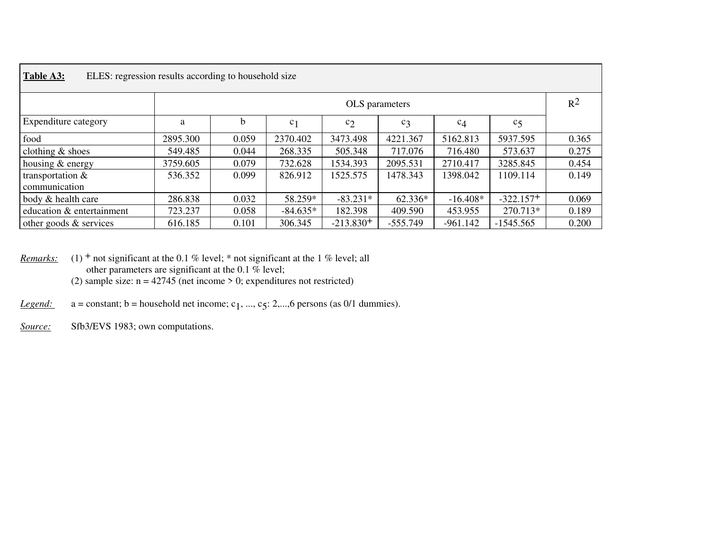| Table A3:<br>ELES: regression results according to household size |                |       |                |                |            |            |             |       |  |  |  |
|-------------------------------------------------------------------|----------------|-------|----------------|----------------|------------|------------|-------------|-------|--|--|--|
|                                                                   | OLS parameters |       |                |                |            |            |             |       |  |  |  |
| Expenditure category                                              | a              | b     | c <sub>1</sub> | c <sub>2</sub> | $c_3$      | $c_4$      | $c_{5}$     |       |  |  |  |
| food                                                              | 2895.300       | 0.059 | 2370.402       | 3473.498       | 4221.367   | 5162.813   | 5937.595    | 0.365 |  |  |  |
| clothing $&$ shoes                                                | 549.485        | 0.044 | 268.335        | 505.348        | 717.076    | 716.480    | 573.637     | 0.275 |  |  |  |
| housing & energy                                                  | 3759.605       | 0.079 | 732.628        | 1534.393       | 2095.531   | 2710.417   | 3285.845    | 0.454 |  |  |  |
| transportation &<br>communication                                 | 536.352        | 0.099 | 826.912        | 1525.575       | 1478.343   | 1398.042   | 1109.114    | 0.149 |  |  |  |
| body & health care                                                | 286.838        | 0.032 | 58.259*        | $-83.231*$     | 62.336*    | $-16.408*$ | $-322.157+$ | 0.069 |  |  |  |
| education & entertainment                                         | 723.237        | 0.058 | $-84.635*$     | 182.398        | 409.590    | 453.955    | 270.713*    | 0.189 |  |  |  |
| other goods $&$ services                                          | 616.185        | 0.101 | 306.345        | $-213.830+$    | $-555.749$ | $-961.142$ | $-1545.565$ | 0.200 |  |  |  |

*Remarks:* (1) <sup>+</sup> not significant at the 0.1 % level; \* not significant at the 1 % level; all other parameters are significant at the 0.1 % level; (2) sample size:  $n = 42745$  (net income  $> 0$ ; expenditures not restricted)

*Legend:*  $a = constant; b = household net income; c_1, ..., c_5; 2,...,6 persons (as 0/1 dummies).$ 

*Source:* Sfb3/EVS 1983; own computations.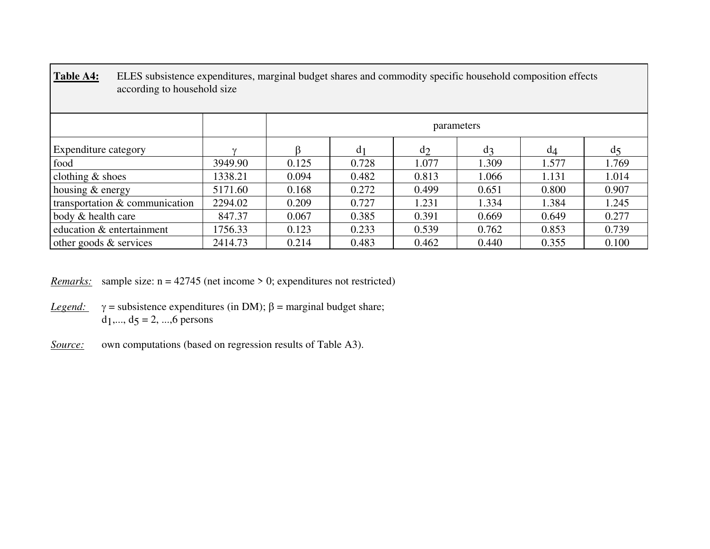| Table A4:<br>ELES subsistence expenditures, marginal budget shares and commodity specific household composition effects<br>according to household size |         |            |                |                |       |       |              |  |  |  |  |
|--------------------------------------------------------------------------------------------------------------------------------------------------------|---------|------------|----------------|----------------|-------|-------|--------------|--|--|--|--|
|                                                                                                                                                        |         | parameters |                |                |       |       |              |  |  |  |  |
| <b>Expenditure category</b>                                                                                                                            |         |            | d <sub>1</sub> | d <sub>2</sub> | $d_3$ | $d_4$ | $d\varsigma$ |  |  |  |  |
| food                                                                                                                                                   | 3949.90 | 0.125      | 0.728          | 1.077          | 1.309 | 1.577 | 1.769        |  |  |  |  |
| clothing $&$ shoes                                                                                                                                     | 1338.21 | 0.094      | 0.482          | 0.813          | 1.066 | 1.131 | 1.014        |  |  |  |  |
| housing $&$ energy                                                                                                                                     | 5171.60 | 0.168      | 0.272          | 0.499          | 0.651 | 0.800 | 0.907        |  |  |  |  |
| transportation & communication                                                                                                                         | 2294.02 | 0.209      | 0.727          | 1.231          | 1.334 | 1.384 | 1.245        |  |  |  |  |
| body & health care                                                                                                                                     | 847.37  | 0.067      | 0.385          | 0.391          | 0.669 | 0.649 | 0.277        |  |  |  |  |
| education & entertainment                                                                                                                              | 1756.33 | 0.123      | 0.233          | 0.539          | 0.762 | 0.853 | 0.739        |  |  |  |  |
| other goods $&$ services                                                                                                                               | 2414.73 | 0.214      | 0.483          | 0.462          | 0.440 | 0.355 | 0.100        |  |  |  |  |

**Table A4:** ELES subsistence expenditures, marginal budget shares and commodity specific household composition effects

*Remarks:* sample size: n = 42745 (net income > 0; expenditures not restricted)

- *Legend:*  $γ =$  subsistence expenditures (in DM);  $β =$  marginal budget share;  $d_1, ..., d_5 = 2, ..., 6$  persons
- *Source:* own computations (based on regression results of Table A3).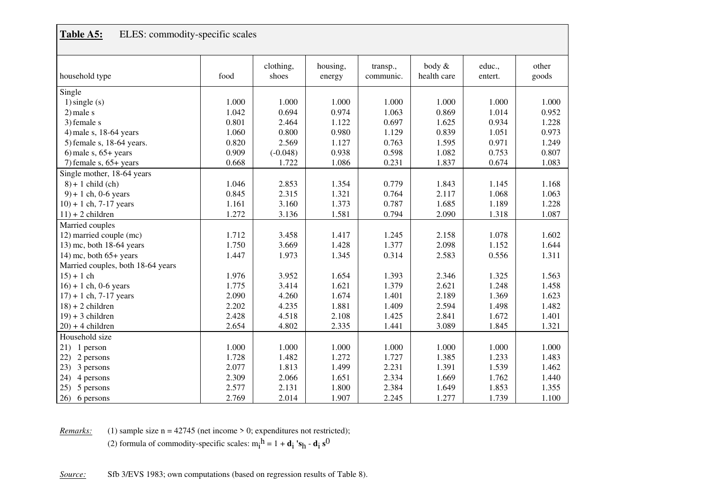| Table A5:<br>ELES: commodity-specific scales |       |                    |                    |                       |                       |                   |                |  |  |
|----------------------------------------------|-------|--------------------|--------------------|-----------------------|-----------------------|-------------------|----------------|--|--|
| household type                               | food  | clothing,<br>shoes | housing,<br>energy | transp.,<br>communic. | body &<br>health care | educ.,<br>entert. | other<br>goods |  |  |
| Single                                       |       |                    |                    |                       |                       |                   |                |  |  |
| $1)$ single $(s)$                            | 1.000 | 1.000              | 1.000              | 1.000                 | 1.000                 | 1.000             | 1.000          |  |  |
| $2$ ) male s                                 | 1.042 | 0.694              | 0.974              | 1.063                 | 0.869                 | 1.014             | 0.952          |  |  |
| 3) female s                                  | 0.801 | 2.464              | 1.122              | 0.697                 | 1.625                 | 0.934             | 1.228          |  |  |
| 4) male s, 18-64 years                       | 1.060 | 0.800              | 0.980              | 1.129                 | 0.839                 | 1.051             | 0.973          |  |  |
| 5) female s, 18-64 years.                    | 0.820 | 2.569              | 1.127              | 0.763                 | 1.595                 | 0.971             | 1.249          |  |  |
| 6) male $s$ , 65+ years                      | 0.909 | $(-0.048)$         | 0.938              | 0.598                 | 1.082                 | 0.753             | 0.807          |  |  |
| 7) female $s$ , $65+$ years                  | 0.668 | 1.722              | 1.086              | 0.231                 | 1.837                 | 0.674             | 1.083          |  |  |
| Single mother, 18-64 years                   |       |                    |                    |                       |                       |                   |                |  |  |
| $8$ + 1 child (ch)                           | 1.046 | 2.853              | 1.354              | 0.779                 | 1.843                 | 1.145             | 1.168          |  |  |
| $9$ ) + 1 ch, 0-6 years                      | 0.845 | 2.315              | 1.321              | 0.764                 | 2.117                 | 1.068             | 1.063          |  |  |
| $10) + 1$ ch, 7-17 years                     | 1.161 | 3.160              | 1.373              | 0.787                 | 1.685                 | 1.189             | 1.228          |  |  |
| $11$ ) + 2 children                          | 1.272 | 3.136              | 1.581              | 0.794                 | 2.090                 | 1.318             | 1.087          |  |  |
| Married couples                              |       |                    |                    |                       |                       |                   |                |  |  |
| 12) married couple (mc)                      | 1.712 | 3.458              | 1.417              | 1.245                 | 2.158                 | 1.078             | 1.602          |  |  |
| 13) mc, both 18-64 years                     | 1.750 | 3.669              | 1.428              | 1.377                 | 2.098                 | 1.152             | 1.644          |  |  |
| $14$ ) mc, both $65+$ years                  | 1.447 | 1.973              | 1.345              | 0.314                 | 2.583                 | 0.556             | 1.311          |  |  |
| Married couples, both 18-64 years            |       |                    |                    |                       |                       |                   |                |  |  |
| $15 + 1$ ch                                  | 1.976 | 3.952              | 1.654              | 1.393                 | 2.346                 | 1.325             | 1.563          |  |  |
| $16$ ) + 1 ch, 0-6 years                     | 1.775 | 3.414              | 1.621              | 1.379                 | 2.621                 | 1.248             | 1.458          |  |  |
| $17$ ) + 1 ch, 7-17 years                    | 2.090 | 4.260              | 1.674              | 1.401                 | 2.189                 | 1.369             | 1.623          |  |  |
| $18$ ) + 2 children                          | 2.202 | 4.235              | 1.881              | 1.409                 | 2.594                 | 1.498             | 1.482          |  |  |
| $19$ ) + 3 children                          | 2.428 | 4.518              | 2.108              | 1.425                 | 2.841                 | 1.672             | 1.401          |  |  |
| $20$ ) + 4 children                          | 2.654 | 4.802              | 2.335              | 1.441                 | 3.089                 | 1.845             | 1.321          |  |  |
| Household size                               |       |                    |                    |                       |                       |                   |                |  |  |
| 21)<br>1 person                              | 1.000 | 1.000              | 1.000              | 1.000                 | 1.000                 | 1.000             | 1.000          |  |  |
| 22)<br>2 persons                             | 1.728 | 1.482              | 1.272              | 1.727                 | 1.385                 | 1.233             | 1.483          |  |  |
| 23)<br>3 persons                             | 2.077 | 1.813              | 1.499              | 2.231                 | 1.391                 | 1.539             | 1.462          |  |  |
| 24)<br>4 persons                             | 2.309 | 2.066              | 1.651              | 2.334                 | 1.669                 | 1.762             | 1.440          |  |  |
| 25)<br>5 persons                             | 2.577 | 2.131              | 1.800              | 2.384                 | 1.649                 | 1.853             | 1.355          |  |  |
| 6 persons<br>26)                             | 2.769 | 2.014              | 1.907              | 2.245                 | 1.277                 | 1.739             | 1.100          |  |  |

*Remarks:* (1) sample size  $n = 42745$  (net income  $> 0$ ; expenditures not restricted);

(2) formula of commodity-specific scales:  $m_i^h = 1 + d_i$  's<sub>h</sub> -  $d_i s^0$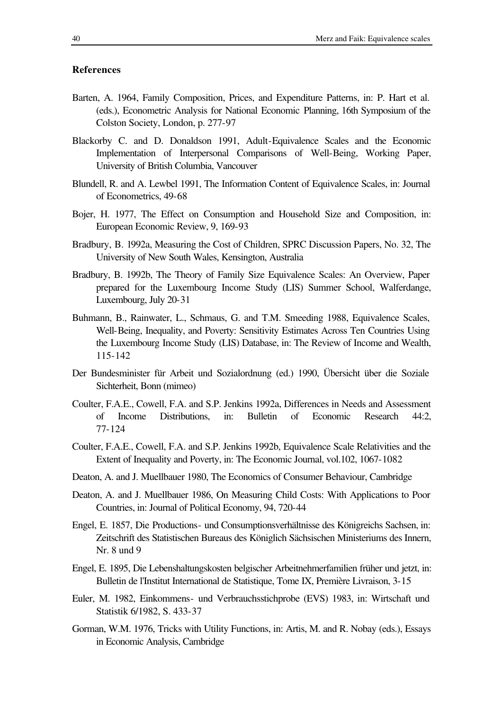# **References**

- Barten, A. 1964, Family Composition, Prices, and Expenditure Patterns, in: P. Hart et al. (eds.), Econometric Analysis for National Economic Planning, 16th Symposium of the Colston Society, London, p. 277-97
- Blackorby C. and D. Donaldson 1991, Adult-Equivalence Scales and the Economic Implementation of Interpersonal Comparisons of Well-Being, Working Paper, University of British Columbia, Vancouver
- Blundell, R. and A. Lewbel 1991, The Information Content of Equivalence Scales, in: Journal of Econometrics, 49-68
- Bojer, H. 1977, The Effect on Consumption and Household Size and Composition, in: European Economic Review, 9, 169-93
- Bradbury, B. 1992a, Measuring the Cost of Children, SPRC Discussion Papers, No. 32, The University of New South Wales, Kensington, Australia
- Bradbury, B. 1992b, The Theory of Family Size Equivalence Scales: An Overview, Paper prepared for the Luxembourg Income Study (LIS) Summer School, Walferdange, Luxembourg, July 20-31
- Buhmann, B., Rainwater, L., Schmaus, G. and T.M. Smeeding 1988, Equivalence Scales, Well-Being, Inequality, and Poverty: Sensitivity Estimates Across Ten Countries Using the Luxembourg Income Study (LIS) Database, in: The Review of Income and Wealth, 115-142
- Der Bundesminister für Arbeit und Sozialordnung (ed.) 1990, Übersicht über die Soziale Sichterheit, Bonn (mimeo)
- Coulter, F.A.E., Cowell, F.A. and S.P. Jenkins 1992a, Differences in Needs and Assessment of Income Distributions, in: Bulletin of Economic Research 44:2, 77-124
- Coulter, F.A.E., Cowell, F.A. and S.P. Jenkins 1992b, Equivalence Scale Relativities and the Extent of Inequality and Poverty, in: The Economic Journal, vol.102, 1067-1082
- Deaton, A. and J. Muellbauer 1980, The Economics of Consumer Behaviour, Cambridge
- Deaton, A. and J. Muellbauer 1986, On Measuring Child Costs: With Applications to Poor Countries, in: Journal of Political Economy, 94, 720-44
- Engel, E. 1857, Die Productions- und Consumptionsverhältnisse des Königreichs Sachsen, in: Zeitschrift des Statistischen Bureaus des Königlich Sächsischen Ministeriums des Innern, Nr. 8 und 9
- Engel, E. 1895, Die Lebenshaltungskosten belgischer Arbeitnehmerfamilien früher und jetzt, in: Bulletin de l'Institut International de Statistique, Tome IX, Première Livraison, 3-15
- Euler, M. 1982, Einkommens- und Verbrauchsstichprobe (EVS) 1983, in: Wirtschaft und Statistik 6/1982, S. 433-37
- Gorman, W.M. 1976, Tricks with Utility Functions, in: Artis, M. and R. Nobay (eds.), Essays in Economic Analysis, Cambridge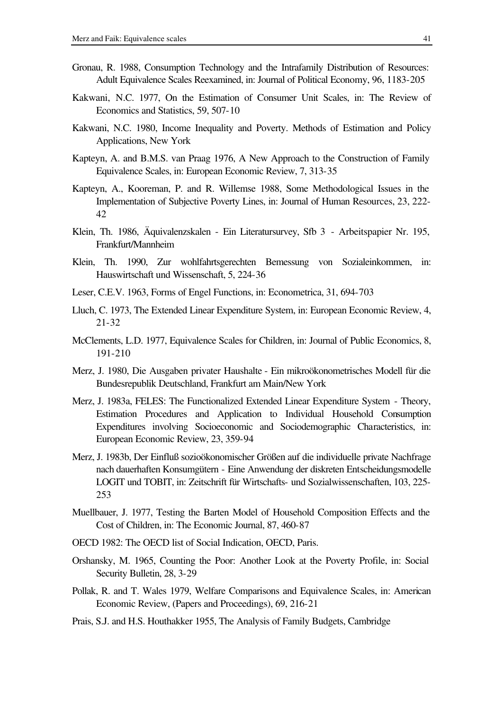- Gronau, R. 1988, Consumption Technology and the Intrafamily Distribution of Resources: Adult Equivalence Scales Reexamined, in: Journal of Political Economy, 96, 1183-205
- Kakwani, N.C. 1977, On the Estimation of Consumer Unit Scales, in: The Review of Economics and Statistics, 59, 507-10
- Kakwani, N.C. 1980, Income Inequality and Poverty. Methods of Estimation and Policy Applications, New York
- Kapteyn, A. and B.M.S. van Praag 1976, A New Approach to the Construction of Family Equivalence Scales, in: European Economic Review, 7, 313-35
- Kapteyn, A., Kooreman, P. and R. Willemse 1988, Some Methodological Issues in the Implementation of Subjective Poverty Lines, in: Journal of Human Resources, 23, 222- 42
- Klein, Th. 1986, Äquivalenzskalen Ein Literatursurvey, Sfb 3 Arbeitspapier Nr. 195, Frankfurt/Mannheim
- Klein, Th. 1990, Zur wohlfahrtsgerechten Bemessung von Sozialeinkommen, in: Hauswirtschaft und Wissenschaft, 5, 224-36
- Leser, C.E.V. 1963, Forms of Engel Functions, in: Econometrica, 31, 694-703
- Lluch, C. 1973, The Extended Linear Expenditure System, in: European Economic Review, 4, 21-32
- McClements, L.D. 1977, Equivalence Scales for Children, in: Journal of Public Economics, 8, 191-210
- Merz, J. 1980, Die Ausgaben privater Haushalte Ein mikroökonometrisches Modell für die Bundesrepublik Deutschland, Frankfurt am Main/New York
- Merz, J. 1983a, FELES: The Functionalized Extended Linear Expenditure System Theory, Estimation Procedures and Application to Individual Household Consumption Expenditures involving Socioeconomic and Sociodemographic Characteristics, in: European Economic Review, 23, 359-94
- Merz, J. 1983b, Der Einfluß sozioökonomischer Größen auf die individuelle private Nachfrage nach dauerhaften Konsumgütern - Eine Anwendung der diskreten Entscheidungsmodelle LOGIT und TOBIT, in: Zeitschrift für Wirtschafts- und Sozialwissenschaften, 103, 225- 253
- Muellbauer, J. 1977, Testing the Barten Model of Household Composition Effects and the Cost of Children, in: The Economic Journal, 87, 460-87
- OECD 1982: The OECD list of Social Indication, OECD, Paris.
- Orshansky, M. 1965, Counting the Poor: Another Look at the Poverty Profile, in: Social Security Bulletin, 28, 3-29
- Pollak, R. and T. Wales 1979, Welfare Comparisons and Equivalence Scales, in: American Economic Review, (Papers and Proceedings), 69, 216-21
- Prais, S.J. and H.S. Houthakker 1955, The Analysis of Family Budgets, Cambridge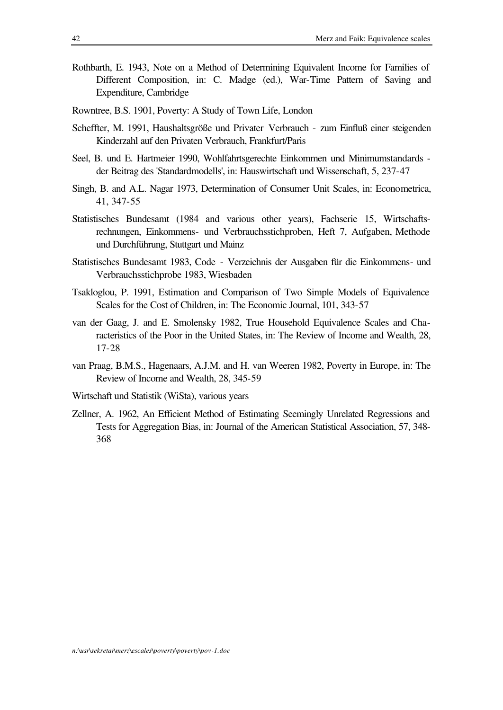- Rothbarth, E. 1943, Note on a Method of Determining Equivalent Income for Families of Different Composition, in: C. Madge (ed.), War-Time Pattern of Saving and Expenditure, Cambridge
- Rowntree, B.S. 1901, Poverty: A Study of Town Life, London
- Scheffter, M. 1991, Haushaltsgröße und Privater Verbrauch zum Einfluß einer steigenden Kinderzahl auf den Privaten Verbrauch, Frankfurt/Paris
- Seel, B. und E. Hartmeier 1990, Wohlfahrtsgerechte Einkommen und Minimumstandards der Beitrag des 'Standardmodells', in: Hauswirtschaft und Wissenschaft, 5, 237-47
- Singh, B. and A.L. Nagar 1973, Determination of Consumer Unit Scales, in: Econometrica, 41, 347-55
- Statistisches Bundesamt (1984 and various other years), Fachserie 15, Wirtschaftsrechnungen, Einkommens- und Verbrauchsstichproben, Heft 7, Aufgaben, Methode und Durchführung, Stuttgart und Mainz
- Statistisches Bundesamt 1983, Code Verzeichnis der Ausgaben für die Einkommens- und Verbrauchsstichprobe 1983, Wiesbaden
- Tsakloglou, P. 1991, Estimation and Comparison of Two Simple Models of Equivalence Scales for the Cost of Children, in: The Economic Journal, 101, 343-57
- van der Gaag, J. and E. Smolensky 1982, True Household Equivalence Scales and Characteristics of the Poor in the United States, in: The Review of Income and Wealth, 28, 17-28
- van Praag, B.M.S., Hagenaars, A.J.M. and H. van Weeren 1982, Poverty in Europe, in: The Review of Income and Wealth, 28, 345-59
- Wirtschaft und Statistik (WiSta), various years
- Zellner, A. 1962, An Efficient Method of Estimating Seemingly Unrelated Regressions and Tests for Aggregation Bias, in: Journal of the American Statistical Association, 57, 348- 368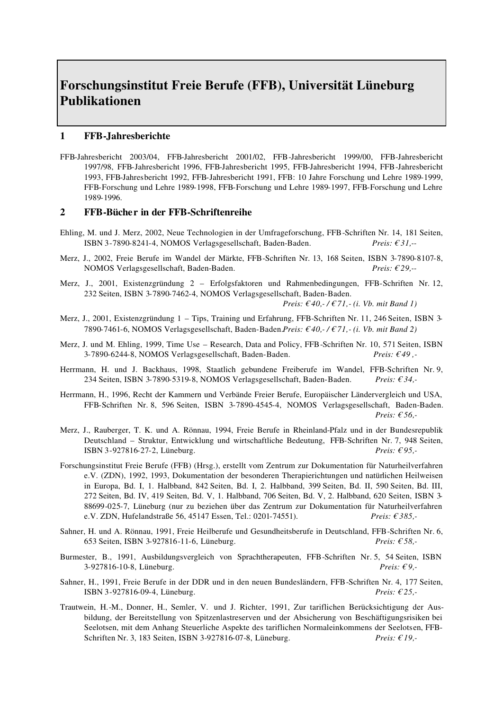# **Forschungsinstitut Freie Berufe (FFB), Universität Lüneburg Publikationen**

### **1 FFB-Jahresberichte**

FFB-Jahresbericht 2003/04, FFB-Jahresbericht 2001/02, FFB-Jahresbericht 1999/00, FFB-Jahresbericht 1997/98, FFB-Jahresbericht 1996, FFB-Jahresbericht 1995, FFB-Jahresbericht 1994, FFB-Jahresbericht 1993, FFB-Jahresbericht 1992, FFB-Jahresbericht 1991, FFB: 10 Jahre Forschung und Lehre 1989-1999, FFB-Forschung und Lehre 1989-1998, FFB-Forschung und Lehre 1989-1997, FFB-Forschung und Lehre 1989-1996.

### **2 FFB-Bücher in der FFB-Schriftenreihe**

- Ehling, M. und J. Merz, 2002, Neue Technologien in der Umfrageforschung, FFB-Schriften Nr. 14, 181 Seiten, ISBN 3-7890-8241-4, NOMOS Verlagsgesellschaft, Baden-Baden. *Preis: € 31,--*
- Merz, J., 2002, Freie Berufe im Wandel der Märkte, FFB-Schriften Nr. 13, 168 Seiten, ISBN 3-7890-8107-8, NOMOS Verlagsgesellschaft, Baden-Baden. *Preis: € 29,--*
- Merz, J., 2001, Existenzgründung 2 Erfolgsfaktoren und Rahmenbedingungen, FFB-Schriften Nr. 12, 232 Seiten, ISBN 3-7890-7462-4, NOMOS Verlagsgesellschaft, Baden-Baden.

 *Preis: € 40,- / € 71,- (i. Vb. mit Band 1)*

- Merz, J., 2001, Existenzgründung 1 Tips, Training und Erfahrung, FFB-Schriften Nr. 11, 246 Seiten, ISBN 3- 7890-7461-6, NOMOS Verlagsgesellschaft, Baden-Baden.*Preis: € 40,- / € 71,- (i. Vb. mit Band 2)*
- Merz, J. und M. Ehling, 1999, Time Use Research, Data and Policy, FFB-Schriften Nr. 10, 571 Seiten, ISBN 3-7890-6244-8, NOMOS Verlagsgesellschaft, Baden-Baden. *Preis: € 49 ,-*
- Herrmann, H. und J. Backhaus, 1998, Staatlich gebundene Freiberufe im Wandel, FFB-Schriften Nr. 9, 234 Seiten, ISBN 3-7890-5319-8, NOMOS Verlagsgesellschaft, Baden-Baden. *Preis: € 34,-*
- Herrmann, H., 1996, Recht der Kammern und Verbände Freier Berufe, Europäischer Ländervergleich und USA, FFB-Schriften Nr. 8, 596 Seiten, ISBN 3-7890-4545-4, NOMOS Verlagsgesellschaft, Baden-Baden. *Preis: € 56,-*
- Merz, J., Rauberger, T. K. und A. Rönnau, 1994, Freie Berufe in Rheinland-Pfalz und in der Bundesrepublik Deutschland – Struktur, Entwicklung und wirtschaftliche Bedeutung, FFB-Schriften Nr. 7, 948 Seiten, ISBN 3-927816-27-2, Lüneburg. *Preis: € 95,-*
- Forschungsinstitut Freie Berufe (FFB) (Hrsg.), erstellt vom Zentrum zur Dokumentation für Naturheilverfahren e.V. (ZDN), 1992, 1993, Dokumentation der besonderen Therapierichtungen und natürlichen Heilweisen in Europa, Bd. I, 1. Halbband, 842 Seiten, Bd. I, 2. Halbband, 399 Seiten, Bd. II, 590 Seiten, Bd. III, 272 Seiten, Bd. IV, 419 Seiten, Bd. V, 1. Halbband, 706 Seiten, Bd. V, 2. Halbband, 620 Seiten, ISBN 3- 88699-025-7, Lüneburg (nur zu beziehen über das Zentrum zur Dokumentation für Naturheilverfahren e.V. ZDN, Hufelandstraße 56, 45147 Essen, Tel.: 0201-74551). *Preis: € 385,-*
- Sahner, H. und A. Rönnau, 1991, Freie Heilberufe und Gesundheitsberufe in Deutschland, FFB-Schriften Nr. 6, 653 Seiten, ISBN 3-927816-11-6, Lüneburg. *Preis: € 58,-*
- Burmester, B., 1991, Ausbildungsvergleich von Sprachtherapeuten, FFB-Schriften Nr. 5, 54 Seiten, ISBN 3-927816-10-8, Lüneburg. *Preis: € 9,-*
- Sahner, H., 1991, Freie Berufe in der DDR und in den neuen Bundesländern, FFB-Schriften Nr. 4, 177 Seiten, ISBN 3-927816-09-4, Lüneburg. *Preis: € 25,-*
- Trautwein, H.-M., Donner, H., Semler, V. und J. Richter, 1991, Zur tariflichen Berücksichtigung der Ausbildung, der Bereitstellung von Spitzenlastreserven und der Absicherung von Beschäftigungsrisiken bei Seelotsen, mit dem Anhang Steuerliche Aspekte des tariflichen Normaleinkommens der Seelotsen, FFB-Schriften Nr. 3, 183 Seiten, ISBN 3-927816-07-8, Lüneburg. *Preis: € 19,-*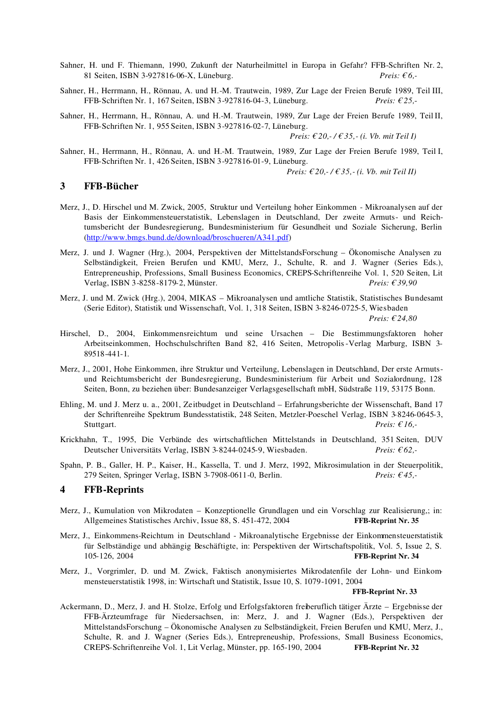- Sahner, H. und F. Thiemann, 1990, Zukunft der Naturheilmittel in Europa in Gefahr? FFB-Schriften Nr. 2, 81 Seiten, ISBN 3-927816-06-X, Lüneburg. *Preis: € 6,-*
- Sahner, H., Herrmann, H., Rönnau, A. und H.-M. Trautwein, 1989, Zur Lage der Freien Berufe 1989, Teil III, FFB-Schriften Nr. 1, 167 Seiten, ISBN 3-927816-04-3, Lüneburg. *Preis: € 25,*-
- Sahner, H., Herrmann, H., Rönnau, A. und H.-M. Trautwein, 1989, Zur Lage der Freien Berufe 1989, TeilII, FFB-Schriften Nr. 1, 955 Seiten, ISBN 3-927816-02-7, Lüneburg.

 *Preis: € 20,- / € 35,- (i. Vb. mit Teil I)*

Sahner, H., Herrmann, H., Rönnau, A. und H.-M. Trautwein, 1989, Zur Lage der Freien Berufe 1989, Teil I, FFB-Schriften Nr. 1, 426 Seiten, ISBN 3-927816-01-9, Lüneburg.

 *Preis: € 20,- / € 35,- (i. Vb. mit Teil II)*

### **3 FFB-Bücher**

- Merz, J., D. Hirschel und M. Zwick, 2005, Struktur und Verteilung hoher Einkommen Mikroanalysen auf der Basis der Einkommensteuerstatistik, Lebenslagen in Deutschland, Der zweite Armuts- und Reichtumsbericht der Bundesregierung, Bundesministerium für Gesundheit und Soziale Sicherung, Berlin (http://www.bmgs.bund.de/download/broschueren/A341.pdf)
- Merz, J. und J. Wagner (Hrg.), 2004, Perspektiven der MittelstandsForschung Ökonomische Analysen zu Selbständigkeit, Freien Berufen und KMU, Merz, J., Schulte, R. and J. Wagner (Series Eds.), Entrepreneuship, Professions, Small Business Economics, CREPS-Schriftenreihe Vol. 1, 520 Seiten, Lit Verlag, ISBN 3-8258-8179-2, Münster. *Preis: € 39,90*
- Merz, J. und M. Zwick (Hrg.), 2004, MIKAS Mikroanalysen und amtliche Statistik, Statistisches Bundesamt (Serie Editor), Statistik und Wissenschaft, Vol. 1, 318 Seiten, ISBN 3-8246-0725-5, Wiesbaden *Preis: € 24,80*
- Hirschel, D., 2004, Einkommensreichtum und seine Ursachen Die Bestimmungsfaktoren hoher Arbeitseinkommen, Hochschulschriften Band 82, 416 Seiten, Metropolis-Verlag Marburg, ISBN 3- 89518-441-1.
- Merz, J., 2001, Hohe Einkommen, ihre Struktur und Verteilung, Lebenslagen in Deutschland, Der erste Armutsund Reichtumsbericht der Bundesregierung, Bundesministerium für Arbeit und Sozialordnung, 128 Seiten, Bonn, zu beziehen über: Bundesanzeiger Verlagsgesellschaft mbH, Südstraße 119, 53175 Bonn.
- Ehling, M. und J. Merz u. a., 2001, Zeitbudget in Deutschland Erfahrungsberichte der Wissenschaft, Band 17 der Schriftenreihe Spektrum Bundesstatistik, 248 Seiten, Metzler-Poeschel Verlag, ISBN 3-8246-0645-3, Stuttgart. *Preis: € 16,-*
- Krickhahn, T., 1995, Die Verbände des wirtschaftlichen Mittelstands in Deutschland, 351 Seiten, DUV Deutscher Universitäts Verlag, ISBN 3-8244-0245-9, Wiesbaden. *Preis: € 62,-*
- Spahn, P. B., Galler, H. P., Kaiser, H., Kassella, T. und J. Merz, 1992, Mikrosimulation in der Steuerpolitik, 279 Seiten, Springer Verlag, ISBN 3-7908-0611-0, Berlin. *Preis: € 45,-*

### **4 FFB-Reprints**

- Merz, J., Kumulation von Mikrodaten Konzeptionelle Grundlagen und ein Vorschlag zur Realisierung,; in: Allgemeines Statistisches Archiv, Issue 88, S. 451-472, 2004 **FFB-Reprint Nr. 35**
- Merz, J., Einkommens-Reichtum in Deutschland Mikroanalytische Ergebnisse der Einkommensteuerstatistik für Selbständige und abhängig Beschäftigte, in: Perspektiven der Wirtschaftspolitik, Vol. 5, Issue 2, S. 105-126, 2004 **FFB-Reprint Nr. 34**
- Merz, J., Vorgrimler, D. und M. Zwick, Faktisch anonymisiertes Mikrodatenfile der Lohn- und Einkommensteuerstatistik 1998, in: Wirtschaft und Statistik, Issue 10, S. 1079-1091, 2004

### **FFB-Reprint Nr. 33**

Ackermann, D., Merz, J. and H. Stolze, Erfolg und Erfolgsfaktoren freiberuflich tätiger Ärzte – Ergebnisse der FFB-Ärzteumfrage für Niedersachsen, in: Merz, J. and J. Wagner (Eds.), Perspektiven der MittelstandsForschung – Ökonomische Analysen zu Selbständigkeit, Freien Berufen und KMU, Merz, J., Schulte, R. and J. Wagner (Series Eds.), Entrepreneuship, Professions, Small Business Economics, CREPS-Schriftenreihe Vol. 1, Lit Verlag, Münster, pp. 165-190, 2004 **FFB-Reprint Nr. 32**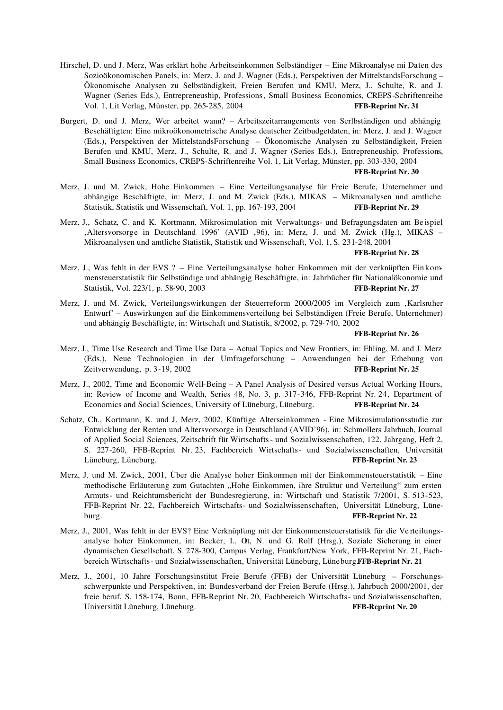- Hirschel, D. und J. Merz, Was erklärt hohe Arbeitseinkommen Selbständiger Eine Mikroanalyse mi Daten des Sozioökonomischen Panels, in: Merz, J. and J. Wagner (Eds.), Perspektiven der MittelstandsForschung – Ökonomische Analysen zu Selbständigkeit, Freien Berufen und KMU, Merz, J., Schulte, R. and J. Wagner (Series Eds.), Entrepreneuship, Professions, Small Business Economics, CREPS-Schriftenreihe Vol. 1, Lit Verlag, Münster, pp. 265-285, 2004 **FFB-Reprint Nr. 31**
- Burgert, D. und J. Merz, Wer arbeitet wann? Arbeitszeitarrangements von Serlbständigen und abhängig Beschäftigten: Eine mikroökonometrische Analyse deutscher Zeitbudgetdaten, in: Merz, J. and J. Wagner (Eds.), Perspektiven der MittelstandsForschung – Ökonomische Analysen zu Selbständigkeit, Freien Berufen und KMU, Merz, J., Schulte, R. and J. Wagner (Series Eds.), Entrepreneuship, Professions, Small Business Economics, CREPS-Schriftenreihe Vol. 1, Lit Verlag, Münster, pp. 303-330, 2004

### **FFB-Reprint Nr. 30**

- Merz, J. und M. Zwick, Hohe Einkommen Eine Verteilungsanalyse für Freie Berufe, Unternehmer und abhängige Beschäftigte, in: Merz, J. and M. Zwick (Eds.), MIKAS – Mikroanalysen und amtliche Statistik, Statistik und Wissenschaft, Vol. 1, pp. 167-193, 2004 FFB-Reprint Nr. 29 Statistik, Statistik und Wissenschaft, Vol. 1, pp. 167-193, 2004
- Merz, J., Schatz, C. and K. Kortmann, Mikrosimulation mit Verwaltungs- und Befragungsdaten am Be ispiel Altersvorsorge in Deutschland 1996' (AVID , 96), in: Merz, J. und M. Zwick (Hg.), MIKAS – Mikroanalysen und amtliche Statistik, Statistik und Wissenschaft, Vol. 1, S. 231-248, 2004

### **FFB-Reprint Nr. 28**

- Merz, J., Was fehlt in der EVS ? Eine Verteilungsanalyse hoher Einkommen mit der verknüpften Ein kommensteuerstatistik für Selbständige und abhängig Beschäftigte, in: Jahrbücher für Nationalökonomie und Statistik, Vol. 223/1, p. 58-90, 2003 **FFB-Reprint Nr. 27**
- Merz, J. und M. Zwick, Verteilungswirkungen der Steuerreform 2000/2005 im Vergleich zum ,Karlsruher Entwurf' – Auswirkungen auf die Einkommensverteilung bei Selbständigen (Freie Berufe, Unternehmer) und abhängig Beschäftigte, in: Wirtschaft und Statistik, 8/2002, p. 729-740, 2002

### **FFB-Reprint Nr. 26**

- Merz, J., Time Use Research and Time Use Data Actual Topics and New Frontiers, in: Ehling, M. and J. Merz (Eds.), Neue Technologien in der Umfrageforschung – Anwendungen bei der Erhebung von Zeitverwendung, p. 3-19, 2002 **FFB-Reprint Nr. 25**
- Merz, J., 2002, Time and Economic Well-Being A Panel Analysis of Desired versus Actual Working Hours, in: Review of Income and Wealth, Series 48, No. 3, p. 317-346, FFB-Reprint Nr. 24, Department of Economics and Social Sciences, University of Lüneburg, Lüneburg. **FFB-Reprint Nr. 24**
- Schatz, Ch., Kortmann, K. und J. Merz, 2002, Künftige Alterseinkommen Eine Mikrosimulationsstudie zur Entwicklung der Renten und Altersvorsorge in Deutschland (AVID'96), in: Schmollers Jahrbuch, Journal of Applied Social Sciences, Zeitschrift für Wirtschafts- und Sozialwissenschaften, 122. Jahrgang, Heft 2, S. 227-260, FFB-Reprint Nr. 23, Fachbereich Wirtschafts- und Sozialwissenschaften, Universität Lüneburg, Lüneburg. **FFB-Reprint Nr. 23**
- Merz, J. und M. Zwick, 2001, Über die Analyse hoher Einkommen mit der Einkommensteuerstatistik Eine methodische Erläuterung zum Gutachten "Hohe Einkommen, ihre Struktur und Verteilung" zum ersten Armuts- und Reichtumsbericht der Bundesregierung, in: Wirtschaft und Statistik 7/2001, S. 513-523, FFB-Reprint Nr. 22, Fachbereich Wirtschafts- und Sozialwissenschaften, Universität Lüneburg, Lüneburg. **FFB-Reprint Nr. 22**
- Merz, J., 2001, Was fehlt in der EVS? Eine Verknüpfung mit der Einkommensteuerstatistik für die Ve rteilungsanalyse hoher Einkommen, in: Becker, I., Ot, N. und G. Rolf (Hrsg.), Soziale Sicherung in einer dynamischen Gesellschaft, S. 278-300, Campus Verlag, Frankfurt/New York, FFB-Reprint Nr. 21, Fachbereich Wirtschafts- und Sozialwissenschaften, Universität Lüneburg, Lüneburg.**FFB-Reprint Nr. 21**
- Merz, J., 2001, 10 Jahre Forschungsinstitut Freie Berufe (FFB) der Universität Lüneburg Forschungsschwerpunkte und Perspektiven, in: Bundesverband der Freien Berufe (Hrsg.), Jahrbuch 2000/2001, der freie beruf, S. 158-174, Bonn, FFB-Reprint Nr. 20, Fachbereich Wirtschafts- und Sozialwissenschaften, Universität Lüneburg, Lüneburg. **FFB-Reprint Nr. 20**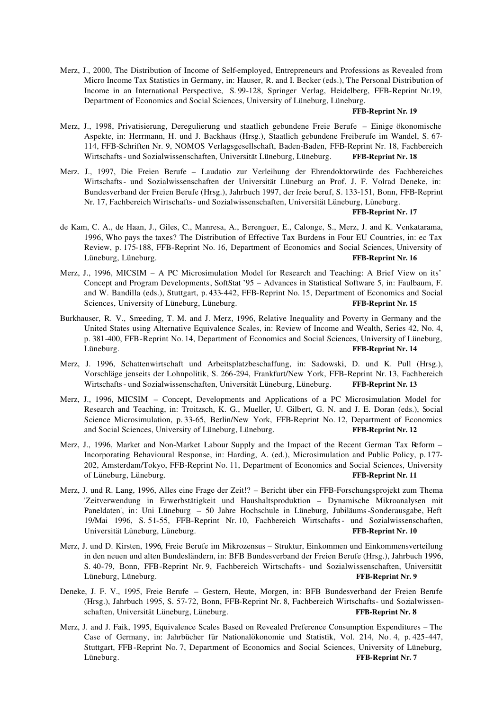Merz, J., 2000, The Distribution of Income of Self-employed, Entrepreneurs and Professions as Revealed from Micro Income Tax Statistics in Germany, in: Hauser, R. and I. Becker (eds.), The Personal Distribution of Income in an International Perspective, S. 99-128, Springer Verlag, Heidelberg, FFB-Reprint Nr.19, Department of Economics and Social Sciences, University of Lüneburg, Lüneburg.

### **FFB-Reprint Nr. 19**

- Merz, J., 1998, Privatisierung, Deregulierung und staatlich gebundene Freie Berufe Einige ökonomische Aspekte, in: Herrmann, H. und J. Backhaus (Hrsg.), Staatlich gebundene Freiberufe im Wandel, S. 67- 114, FFB-Schriften Nr. 9, NOMOS Verlagsgesellschaft, Baden-Baden, FFB-Reprint Nr. 18, Fachbereich Wirtschafts- und Sozialwissenschaften, Universität Lüneburg, Lüneburg. **FFB-Reprint Nr. 18**
- Merz. J., 1997, Die Freien Berufe Laudatio zur Verleihung der Ehrendoktorwürde des Fachbereiches Wirtschafts- und Sozialwissenschaften der Universität Lüneburg an Prof. J. F. Volrad Deneke, in: Bundesverband der Freien Berufe (Hrsg.), Jahrbuch 1997, der freie beruf, S. 133-151, Bonn, FFB-Reprint Nr. 17, Fachbereich Wirtschafts- und Sozialwissenschaften, Universität Lüneburg, Lüneburg.

### **FFB-Reprint Nr. 17**

- de Kam, C. A., de Haan, J., Giles, C., Manresa, A., Berenguer, E., Calonge, S., Merz, J. and K. Venkatarama, 1996, Who pays the taxes? The Distribution of Effective Tax Burdens in Four EU Countries, in: ec Tax Review, p. 175-188, FFB-Reprint No. 16, Department of Economics and Social Sciences, University of Lüneburg, Lüneburg. **FFB-Reprint Nr. 16**
- Merz, J., 1996, MICSIM A PC Microsimulation Model for Research and Teaching: A Brief View on its' Concept and Program Developments, SoftStat '95 – Advances in Statistical Software 5, in: Faulbaum, F. and W. Bandilla (eds.), Stuttgart, p. 433-442, FFB-Reprint No. 15, Department of Economics and Social Sciences, University of Lüneburg, Lüneburg. **FFB-Reprint Nr. 15**
- Burkhauser, R. V., Smeeding, T. M. and J. Merz, 1996, Relative Inequality and Poverty in Germany and the United States using Alternative Equivalence Scales, in: Review of Income and Wealth, Series 42, No. 4, p. 381-400, FFB-Reprint No. 14, Department of Economics and Social Sciences, University of Lüneburg, Lüneburg. **FFB-Reprint Nr. 14**
- Merz, J. 1996, Schattenwirtschaft und Arbeitsplatzbeschaffung, in: Sadowski, D. und K. Pull (Hrsg.), Vorschläge jenseits der Lohnpolitik, S. 266-294, Frankfurt/New York, FFB-Reprint Nr. 13, Fachbereich Wirtschafts- und Sozialwissenschaften, Universität Lüneburg, Lüneburg. **FFB-Reprint Nr. 13**
- Merz, J., 1996, MICSIM Concept, Developments and Applications of a PC Microsimulation Model for Research and Teaching, in: Troitzsch, K. G., Mueller, U. Gilbert, G. N. and J. E. Doran (eds.), Social Science Microsimulation, p. 33-65, Berlin/New York, FFB-Reprint No. 12, Department of Economics and Social Sciences, University of Lüneburg, Lüneburg. **FFB-Reprint Nr. 12**
- Merz, J., 1996, Market and Non-Market Labour Supply and the Impact of the Recent German Tax Reform Incorporating Behavioural Response, in: Harding, A. (ed.), Microsimulation and Public Policy, p. 177- 202, Amsterdam/Tokyo, FFB-Reprint No. 11, Department of Economics and Social Sciences, University of Lüneburg, Lüneburg. **FFB-Reprint Nr. 11**
- Merz, J. und R. Lang, 1996, Alles eine Frage der Zeit!? Bericht über ein FFB-Forschungsprojekt zum Thema 'Zeitverwendung in Erwerbstätigkeit und Haushaltsproduktion – Dynamische Mikroanalysen mit Paneldaten', in: Uni Lüneburg – 50 Jahre Hochschule in Lüneburg, Jubiläums-Sonderausgabe, Heft 19/Mai 1996, S. 51-55, FFB-Reprint Nr. 10, Fachbereich Wirtschafts- und Sozialwissenschaften, Universität Lüneburg, Lüneburg. **FFB-Reprint Nr. 10**
- Merz, J. und D. Kirsten, 1996, Freie Berufe im Mikrozensus Struktur, Einkommen und Einkommensverteilung in den neuen und alten Bundesländern, in: BFB Bundesverband der Freien Berufe (Hrsg.), Jahrbuch 1996, S. 40-79, Bonn, FFB-Reprint Nr. 9, Fachbereich Wirtschafts- und Sozialwissenschaften, Universität Lüneburg, Lüneburg. **FFB-Reprint Nr. 9**
- Deneke, J. F. V., 1995, Freie Berufe Gestern, Heute, Morgen, in: BFB Bundesverband der Freien Berufe (Hrsg.), Jahrbuch 1995, S. 57-72, Bonn, FFB-Reprint Nr. 8, Fachbereich Wirtschafts- und Sozialwissenschaften, Universität Lüneburg, Lüneburg. **FFB-Reprint Nr. 8**
- Merz, J. and J. Faik, 1995, Equivalence Scales Based on Revealed Preference Consumption Expenditures The Case of Germany, in: Jahrbücher für Nationalökonomie und Statistik, Vol. 214, No. 4, p. 425-447, Stuttgart, FFB-Reprint No. 7, Department of Economics and Social Sciences, University of Lüneburg, Lüneburg. **FFB-Reprint Nr. 7**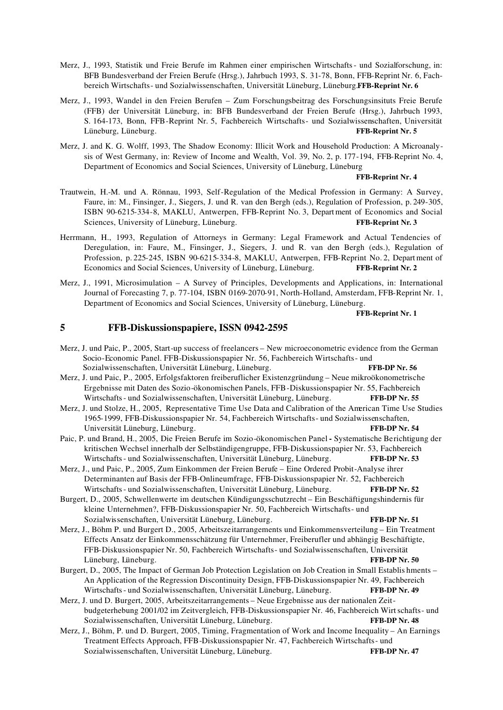- Merz, J., 1993, Statistik und Freie Berufe im Rahmen einer empirischen Wirtschafts- und Sozialforschung, in: BFB Bundesverband der Freien Berufe (Hrsg.), Jahrbuch 1993, S. 31-78, Bonn, FFB-Reprint Nr. 6, Fachbereich Wirtschafts- und Sozialwissenschaften, Universität Lüneburg, Lüneburg.**FFB-Reprint Nr. 6**
- Merz, J., 1993, Wandel in den Freien Berufen Zum Forschungsbeitrag des Forschungsinsituts Freie Berufe (FFB) der Universität Lüneburg, in: BFB Bundesverband der Freien Berufe (Hrsg.), Jahrbuch 1993, S. 164-173, Bonn, FFB-Reprint Nr. 5, Fachbereich Wirtschafts- und Sozialwissenschaften, Universität Lüneburg, Lüneburg. **FFB-Reprint Nr. 5**
- Merz, J. and K. G. Wolff, 1993, The Shadow Economy: Illicit Work and Household Production: A Microanalysis of West Germany, in: Review of Income and Wealth, Vol. 39, No. 2, p. 177-194, FFB-Reprint No. 4, Department of Economics and Social Sciences, University of Lüneburg, Lüneburg

### **FFB-Reprint Nr. 4**

- Trautwein, H.-M. und A. Rönnau, 1993, Self-Regulation of the Medical Profession in Germany: A Survey, Faure, in: M., Finsinger, J., Siegers, J. und R. van den Bergh (eds.), Regulation of Profession, p. 249-305, ISBN 90-6215-334-8, MAKLU, Antwerpen, FFB-Reprint No. 3, Department of Economics and Social Sciences, University of Lüneburg, Lüneburg. **FFB-Reprint Nr. 3** FFB-Reprint Nr. 3
- Herrmann, H., 1993, Regulation of Attorneys in Germany: Legal Framework and Actual Tendencies of Deregulation, in: Faure, M., Finsinger, J., Siegers, J. und R. van den Bergh (eds.), Regulation of Profession, p. 225-245, ISBN 90-6215-334-8, MAKLU, Antwerpen, FFB-Reprint No. 2, Department of Economics and Social Sciences, University of Lüneburg, Lüneburg. **FFB-Reprint Nr. 2**
- Merz, J., 1991, Microsimulation A Survey of Principles, Developments and Applications, in: International Journal of Forecasting 7, p. 77-104, ISBN 0169-2070-91, North-Holland, Amsterdam, FFB-Reprint Nr. 1, Department of Economics and Social Sciences, University of Lüneburg, Lüneburg.

### **FFB-Reprint Nr. 1**

# **5 FFB-Diskussionspapiere, ISSN 0942-2595**

Merz, J. und Paic, P., 2005, Start-up success of freelancers – New microeconometric evidence from the German Socio-Economic Panel. FFB-Diskussionspapier Nr. 56, Fachbereich Wirtschafts- und Sozialwissenschaften, Universität Lüneburg, Lüneburg. **FFB-DP Nr. 56** Merz, J. und Paic, P., 2005, Erfolgsfaktoren freiberuflicher Existenzgründung – Neue mikroökonometrische Ergebnisse mit Daten des Sozio-ökonomischen Panels, FFB-Diskussionspapier Nr. 55, Fachbereich Wirtschafts- und Sozialwissenschaften, Universität Lüneburg, Lüneburg. **FFB-DP Nr. 55** Merz, J. und Stolze, H., 2005, Representative Time Use Data and Calibration of the American Time Use Studies 1965-1999, FFB-Diskussionspapier Nr. 54, Fachbereich Wirtschafts- und Sozialwissenschaften, Universität Lüneburg, Lüneburg. **FFB-DP Nr. 54** Paic, P. und Brand, H., 2005, Die Freien Berufe im Sozio-ökonomischen Panel **-** Systematische Berichtigung der kritischen Wechsel innerhalb der Selbständigengruppe, FFB-Diskussionspapier Nr. 53, Fachbereich Wirtschafts- und Sozialwissenschaften, Universität Lüneburg, Lüneburg. **FFB-DP Nr. 53** Merz, J., und Paic, P., 2005, Zum Einkommen der Freien Berufe – Eine Ordered Probit-Analyse ihrer Determinanten auf Basis der FFB-Onlineumfrage, FFB-Diskussionspapier Nr. 52, Fachbereich Wirtschafts- und Sozialwissenschaften, Universität Lüneburg, Lüneburg. **FFB-DP Nr. 52** Burgert, D., 2005, Schwellenwerte im deutschen Kündigungsschutzrecht – Ein Beschäftigungshindernis für kleine Unternehmen?, FFB-Diskussionspapier Nr. 50, Fachbereich Wirtschafts- und Sozialwissenschaften, Universität Lüneburg, Lüneburg. **FFB-DP Nr. 51** Merz, J., Böhm P. und Burgert D., 2005, Arbeitszeitarrangements und Einkommensverteilung – Ein Treatment Effects Ansatz der Einkommensschätzung für Unternehmer, Freiberufler und abhängig Beschäftigte, FFB-Diskussionspapier Nr. 50, Fachbereich Wirtschafts- und Sozialwissenschaften, Universität Lüneburg, Lüneburg. **FFB-DP Nr. 50** Burgert, D., 2005, The Impact of German Job Protection Legislation on Job Creation in Small Establis hments – An Application of the Regression Discontinuity Design, FFB-Diskussionspapier Nr. 49, Fachbereich Wirtschafts- und Sozialwissenschaften, Universität Lüneburg, Lüneburg. **FFB-DP Nr. 49** Merz, J. und D. Burgert, 2005, Arbeitszeitarrangements – Neue Ergebnisse aus der nationalen Zeitbudgeterhebung 2001/02 im Zeitvergleich, FFB-Diskussionspapier Nr. 46, Fachbereich Wirtschafts- und Sozialwissenschaften, Universität Lüneburg, Lüneburg. **FFB-DP Nr. 48** Merz, J., Böhm, P. und D. Burgert, 2005, Timing, Fragmentation of Work and Income Inequality – An Earnings Treatment Effects Approach, FFB-Diskussionspapier Nr. 47, Fachbereich Wirtschafts- und Sozialwissenschaften, Universität Lüneburg, Lüneburg. **FFB-DP Nr. 47**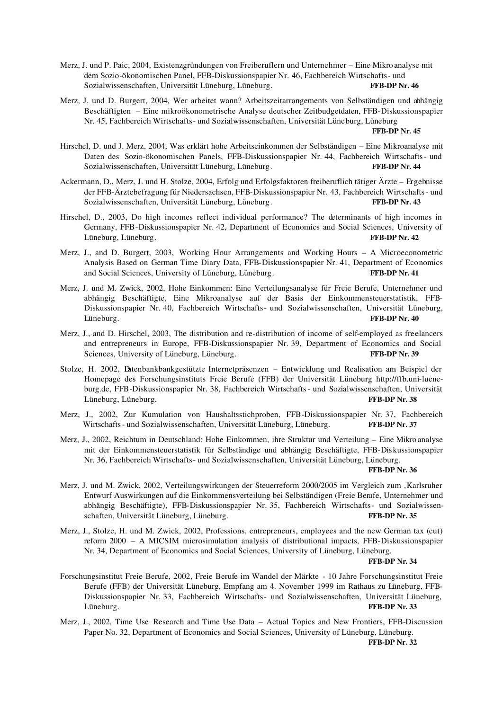- Merz, J. und P. Paic, 2004, Existenzgründungen von Freiberuflern und Unternehmer Eine Mikro analyse mit dem Sozio-ökonomischen Panel, FFB-Diskussionspapier Nr. 46, Fachbereich Wirtschafts- und Sozialwissenschaften, Universität Lüneburg, Lüneburg. **FFB-DP Nr. 46**
- Merz, J. und D. Burgert, 2004, Wer arbeitet wann? Arbeitszeitarrangements von Selbständigen und abhängig Beschäftigten – Eine mikroökonometrische Analyse deutscher Zeitbudgetdaten, FFB-Diskussionspapier Nr. 45, Fachbereich Wirtschafts- und Sozialwissenschaften, Universität Lüneburg, Lüneburg

### **FFB-DP Nr. 45**

- Hirschel, D. und J. Merz, 2004, Was erklärt hohe Arbeitseinkommen der Selbständigen Eine Mikroanalyse mit Daten des Sozio-ökonomischen Panels, FFB-Diskussionspapier Nr. 44, Fachbereich Wirtschafts- und Sozialwissenschaften, Universität Lüneburg, Lüneburg. **FFB-DP Nr. 44**
- Ackermann, D., Merz, J. und H. Stolze, 2004, Erfolg und Erfolgsfaktoren freiberuflich tätiger Ärzte Ergebnisse der FFB-Ärztebefragung für Niedersachsen, FFB-Diskussionspapier Nr. 43, Fachbereich Wirtschafts- und Sozialwissenschaften, Universität Lüneburg, Lüneburg. **FFB-DP Nr. 43**
- Hirschel, D., 2003, Do high incomes reflect individual performance? The determinants of high incomes in Germany, FFB-Diskussionspapier Nr. 42, Department of Economics and Social Sciences, University of Lüneburg, Lüneburg. **FFB-DP Nr. 42**
- Merz, J., and D. Burgert, 2003, Working Hour Arrangements and Working Hours A Microeconometric Analysis Based on German Time Diary Data, FFB-Diskussionspapier Nr. 41, Department of Economics and Social Sciences, University of Lüneburg, Lüneburg. **Fig. 2018 FFB-DP Nr. 41**
- Merz, J. und M. Zwick, 2002, Hohe Einkommen: Eine Verteilungsanalyse für Freie Berufe, Unternehmer und abhängig Beschäftigte, Eine Mikroanalyse auf der Basis der Einkommensteuerstatistik, FFB-Diskussionspapier Nr. 40, Fachbereich Wirtschafts- und Sozialwissenschaften, Universität Lüneburg, Lüneburg. **FFB-DP Nr. 40**
- Merz, J., and D. Hirschel, 2003, The distribution and re-distribution of income of self-employed as freelancers and entrepreneurs in Europe, FFB-Diskussionspapier Nr. 39, Department of Economics and Social Sciences, University of Lüneburg, Lüneburg. **FFB-DP Nr. 39**
- Stolze, H. 2002, Datenbankbankgestützte Internetpräsenzen Entwicklung und Realisation am Beispiel der Homepage des Forschungsinstituts Freie Berufe (FFB) der Universität Lüneburg http://ffb.uni-lueneburg.de, FFB-Diskussionspapier Nr. 38, Fachbereich Wirtschafts- und Sozialwissenschaften, Universität Lüneburg, Lüneburg. **FFB-DP Nr. 38**
- Merz, J., 2002, Zur Kumulation von Haushaltsstichproben, FFB-Diskussionspapier Nr. 37, Fachbereich Wirtschafts- und Sozialwissenschaften, Universität Lüneburg, Lüneburg. **FFB-DP Nr. 37**
- Merz, J., 2002, Reichtum in Deutschland: Hohe Einkommen, ihre Struktur und Verteilung Eine Mikro analyse mit der Einkommensteuerstatistik für Selbständige und abhängig Beschäftigte, FFB-Dis kussionspapier Nr. 36, Fachbereich Wirtschafts- und Sozialwissenschaften, Universität Lüneburg, Lüneburg.

### **FFB-DP Nr. 36**

- Merz, J. und M. Zwick, 2002, Verteilungswirkungen der Steuerreform 2000/2005 im Vergleich zum 'Karlsruher Entwurf Auswirkungen auf die Einkommensverteilung bei Selbständigen (Freie Berufe, Unternehmer und abhängig Beschäftigte), FFB-Diskussionspapier Nr. 35, Fachbereich Wirtschafts- und Sozialwissenschaften, Universität Lüneburg, Lüneburg. **FFB-DP Nr. 35**
- Merz, J., Stolze, H. und M. Zwick, 2002, Professions, entrepreneurs, employees and the new German tax (cut) reform 2000 – A MICSIM microsimulation analysis of distributional impacts, FFB-Diskussionspapier Nr. 34, Department of Economics and Social Sciences, University of Lüneburg, Lüneburg.

### **FFB-DP Nr. 34**

- Forschungsinstitut Freie Berufe, 2002, Freie Berufe im Wandel der Märkte 10 Jahre Forschungsinstitut Freie Berufe (FFB) der Universität Lüneburg, Empfang am 4. November 1999 im Rathaus zu Lüneburg, FFB-Diskussionspapier Nr. 33, Fachbereich Wirtschafts- und Sozialwissenschaften, Universität Lüneburg, Lüneburg. **FFB-DP Nr. 33**
- Merz, J., 2002, Time Use Research and Time Use Data Actual Topics and New Frontiers, FFB-Discussion Paper No. 32, Department of Economics and Social Sciences, University of Lüneburg, Lüneburg.

**FFB-DP Nr. 32**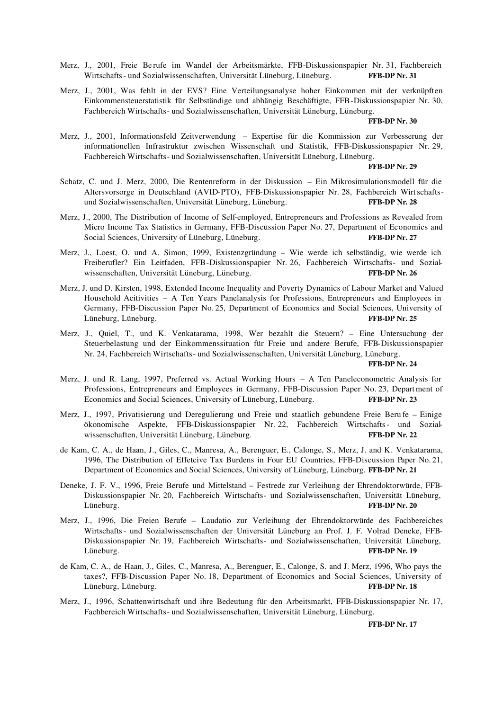Merz, J., 2001, Freie Be rufe im Wandel der Arbeitsmärkte, FFB-Diskussionspapier Nr. 31, Fachbereich Wirtschafts- und Sozialwissenschaften, Universität Lüneburg, Lüneburg. **FFB-DP Nr. 31**

Merz, J., 2001, Was fehlt in der EVS? Eine Verteilungsanalyse hoher Einkommen mit der verknüpften Einkommensteuerstatistik für Selbständige und abhängig Beschäftigte, FFB-Diskussionspapier Nr. 30, Fachbereich Wirtschafts- und Sozialwissenschaften, Universität Lüneburg, Lüneburg.

### **FFB-DP Nr. 30**

Merz, J., 2001, Informationsfeld Zeitverwendung – Expertise für die Kommission zur Verbesserung der informationellen Infrastruktur zwischen Wissenschaft und Statistik, FFB-Diskussionspapier Nr. 29, Fachbereich Wirtschafts- und Sozialwissenschaften, Universität Lüneburg, Lüneburg.

#### **FFB-DP Nr. 29**

- Schatz, C. und J. Merz, 2000, Die Rentenreform in der Diskussion Ein Mikrosimulationsmodell für die Altersvorsorge in Deutschland (AVID-PTO), FFB-Diskussionspapier Nr. 28, Fachbereich Wirtschaftsund Sozialwissenschaften, Universität Lüneburg, Lüneburg. **FFB-DP Nr. 28**
- Merz, J., 2000, The Distribution of Income of Self-employed, Entrepreneurs and Professions as Revealed from Micro Income Tax Statistics in Germany, FFB-Discussion Paper No. 27, Department of Economics and Social Sciences, University of Lüneburg, Lüneburg. **FFB-DP Nr. 27 FFB-DP Nr. 27**
- Merz, J., Loest, O. und A. Simon, 1999, Existenzgründung Wie werde ich selbständig, wie werde ich Freiberufler? Ein Leitfaden, FFB-Diskussionspapier Nr. 26, Fachbereich Wirtschafts- und Sozialwissenschaften, Universität Lüneburg, Lüneburg. **FFB-DP Nr. 26**
- Merz, J. und D. Kirsten, 1998, Extended Income Inequality and Poverty Dynamics of Labour Market and Valued Household Acitivities – A Ten Years Panelanalysis for Professions, Entrepreneurs and Employees in Germany, FFB-Discussion Paper No. 25, Department of Economics and Social Sciences, University of Lüneburg, Lüneburg. **FFB-DP Nr. 25**
- Merz, J., Quiel, T., und K. Venkatarama, 1998, Wer bezahlt die Steuern? Eine Untersuchung der Steuerbelastung und der Einkommenssituation für Freie und andere Berufe, FFB-Diskussionspapier Nr. 24, Fachbereich Wirtschafts- und Sozialwissenschaften, Universität Lüneburg, Lüneburg.

### **FFB-DP Nr. 24**

- Merz, J. und R. Lang, 1997, Preferred vs. Actual Working Hours A Ten Paneleconometric Analysis for Professions, Entrepreneurs and Employees in Germany, FFB-Discussion Paper No. 23, Depart ment of Economics and Social Sciences, University of Lüneburg, Lüneburg. **FFB-DP Nr. 23**
- Merz, J., 1997, Privatisierung und Deregulierung und Freie und staatlich gebundene Freie Beru fe Einige ökonomische Aspekte, FFB-Diskussionspapier Nr. 22, Fachbereich Wirtschafts- und Sozialwissenschaften, Universität Lüneburg, Lüneburg. **FFB-DP Nr. 22**
- de Kam, C. A., de Haan, J., Giles, C., Manresa, A., Berenguer, E., Calonge, S., Merz, J. and K. Venkatarama, 1996, The Distribution of Effetcive Tax Burdens in Four EU Countries, FFB-Discussion Paper No. 21, Department of Economics and Social Sciences, University of Lüneburg, Lüneburg. **FFB-DP Nr. 21**
- Deneke, J. F. V., 1996, Freie Berufe und Mittelstand Festrede zur Verleihung der Ehrendoktorwürde, FFB-Diskussionspapier Nr. 20, Fachbereich Wirtschafts- und Sozialwissenschaften, Universität Lüneburg, Lüneburg. **FFB-DP Nr. 20**
- Merz, J., 1996, Die Freien Berufe Laudatio zur Verleihung der Ehrendoktorwürde des Fachbereiches Wirtschafts- und Sozialwissenschaften der Universität Lüneburg an Prof. J. F. Volrad Deneke, FFB-Diskussionspapier Nr. 19, Fachbereich Wirtschafts- und Sozialwissenschaften, Universität Lüneburg, Lüneburg. **FFB-DP Nr. 19**
- de Kam, C. A., de Haan, J., Giles, C., Manresa, A., Berenguer, E., Calonge, S. and J. Merz, 1996, Who pays the taxes?, FFB-Discussion Paper No. 18, Department of Economics and Social Sciences, University of Lüneburg, Lüneburg. **FFB-DP Nr. 18**
- Merz, J., 1996, Schattenwirtschaft und ihre Bedeutung für den Arbeitsmarkt, FFB-Diskussionspapier Nr. 17, Fachbereich Wirtschafts- und Sozialwissenschaften, Universität Lüneburg, Lüneburg.

**FFB-DP Nr. 17**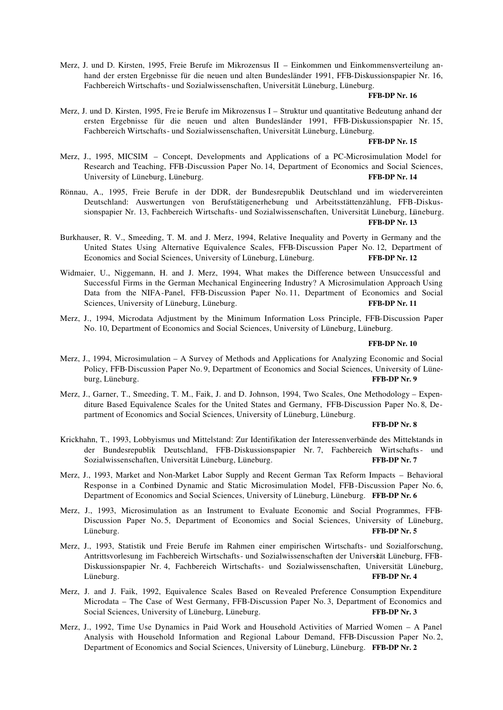Merz, J. und D. Kirsten, 1995, Freie Berufe im Mikrozensus II – Einkommen und Einkommensverteilung anhand der ersten Ergebnisse für die neuen und alten Bundesländer 1991, FFB-Diskussionspapier Nr. 16, Fachbereich Wirtschafts- und Sozialwissenschaften, Universität Lüneburg, Lüneburg.

### **FFB-DP Nr. 16**

Merz, J. und D. Kirsten, 1995, Fre ie Berufe im Mikrozensus I – Struktur und quantitative Bedeutung anhand der ersten Ergebnisse für die neuen und alten Bundesländer 1991, FFB-Diskussionspapier Nr. 15, Fachbereich Wirtschafts- und Sozialwissenschaften, Universität Lüneburg, Lüneburg.

### **FFB-DP Nr. 15**

- Merz, J., 1995, MICSIM Concept, Developments and Applications of a PC-Microsimulation Model for Research and Teaching, FFB-Discussion Paper No. 14, Department of Economics and Social Sciences, University of Lüneburg, Lüneburg. **FFB-DP Nr. 14**
- Rönnau, A., 1995, Freie Berufe in der DDR, der Bundesrepublik Deutschland und im wiedervereinten Deutschland: Auswertungen von Berufstätigenerhebung und Arbeitsstättenzählung, FFB-Diskussionspapier Nr. 13, Fachbereich Wirtschafts- und Sozialwissenschaften, Universität Lüneburg, Lüneburg. **FFB-DP Nr. 13**
- Burkhauser, R. V., Smeeding, T. M. and J. Merz, 1994, Relative Inequality and Poverty in Germany and the United States Using Alternative Equivalence Scales, FFB-Discussion Paper No. 12, Department of Economics and Social Sciences, University of Lüneburg, Lüneburg. **FFB-DP Nr. 12**
- Widmaier, U., Niggemann, H. and J. Merz, 1994, What makes the Difference between Unsuccessful and Successful Firms in the German Mechanical Engineering Industry? A Microsimulation Approach Using Data from the NIFA-Panel, FFB-Discussion Paper No. 11, Department of Economics and Social Sciences, University of Lüneburg, Lüneburg. **FFB-DP Nr. 11**
- Merz, J., 1994, Microdata Adjustment by the Minimum Information Loss Principle, FFB-Discussion Paper No. 10, Department of Economics and Social Sciences, University of Lüneburg, Lüneburg.

#### **FFB-DP Nr. 10**

- Merz, J., 1994, Microsimulation A Survey of Methods and Applications for Analyzing Economic and Social Policy, FFB-Discussion Paper No. 9, Department of Economics and Social Sciences, University of Lüneburg, Lüneburg. **FFB-DP Nr. 9**
- Merz, J., Garner, T., Smeeding, T. M., Faik, J. and D. Johnson, 1994, Two Scales, One Methodology Expenditure Based Equivalence Scales for the United States and Germany, FFB-Discussion Paper No. 8, Department of Economics and Social Sciences, University of Lüneburg, Lüneburg.

#### **FFB-DP Nr. 8**

- Krickhahn, T., 1993, Lobbyismus und Mittelstand: Zur Identifikation der Interessenverbände des Mittelstands in der Bundesrepublik Deutschland, FFB-Diskussionspapier Nr. 7, Fachbereich Wirtschafts- und Sozialwissenschaften, Universität Lüneburg, Lüneburg. **FFB-DP Nr. 7**
- Merz, J., 1993, Market and Non-Market Labor Supply and Recent German Tax Reform Impacts Behavioral Response in a Combined Dynamic and Static Microsimulation Model, FFB-Discussion Paper No. 6, Department of Economics and Social Sciences, University of Lüneburg, Lüneburg. **FFB-DP Nr. 6**
- Merz, J., 1993, Microsimulation as an Instrument to Evaluate Economic and Social Programmes, FFB-Discussion Paper No. 5, Department of Economics and Social Sciences, University of Lüneburg, Lüneburg. **FFB-DP Nr. 5**
- Merz, J., 1993, Statistik und Freie Berufe im Rahmen einer empirischen Wirtschafts- und Sozialforschung, Antrittsvorlesung im Fachbereich Wirtschafts- und Sozialwissenschaften der Universität Lüneburg, FFB-Diskussionspapier Nr. 4, Fachbereich Wirtschafts- und Sozialwissenschaften, Universität Lüneburg, Lüneburg. **FFB-DP Nr. 4**
- Merz, J. and J. Faik, 1992, Equivalence Scales Based on Revealed Preference Consumption Expenditure Microdata – The Case of West Germany, FFB-Discussion Paper No. 3, Department of Economics and Social Sciences, University of Lüneburg, Lüneburg. **FFB-DP Nr. 3**
- Merz, J., 1992, Time Use Dynamics in Paid Work and Household Activities of Married Women A Panel Analysis with Household Information and Regional Labour Demand, FFB-Discussion Paper No. 2, Department of Economics and Social Sciences, University of Lüneburg, Lüneburg. **FFB-DP Nr. 2**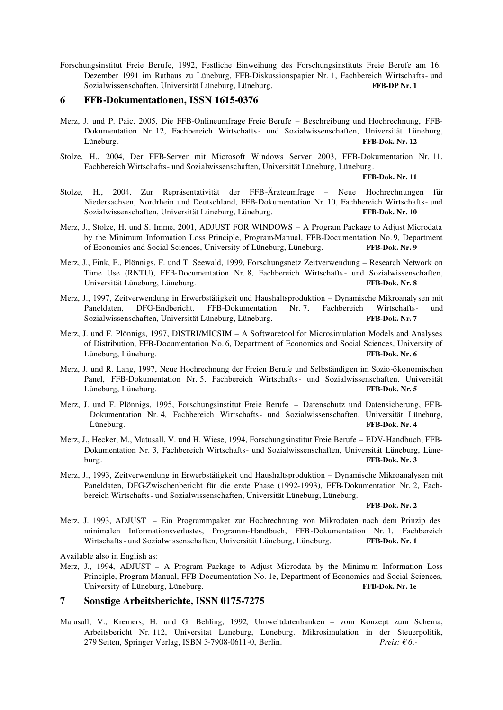Forschungsinstitut Freie Berufe, 1992, Festliche Einweihung des Forschungsinstituts Freie Berufe am 16. Dezember 1991 im Rathaus zu Lüneburg, FFB-Diskussionspapier Nr. 1, Fachbereich Wirtschafts- und Sozialwissenschaften, Universität Lüneburg, Lüneburg. **FFB-DP Nr. 1**

### **6 FFB-Dokumentationen, ISSN 1615-0376**

- Merz, J. und P. Paic, 2005, Die FFB-Onlineumfrage Freie Berufe Beschreibung und Hochrechnung, FFB-Dokumentation Nr. 12, Fachbereich Wirtschafts- und Sozialwissenschaften, Universität Lüneburg, Lüneburg. **FFB-Dok. Nr. 12**
- Stolze, H., 2004, Der FFB-Server mit Microsoft Windows Server 2003, FFB-Dokumentation Nr. 11, Fachbereich Wirtschafts- und Sozialwissenschaften, Universität Lüneburg, Lüneburg.

**FFB-Dok. Nr. 11** 

- Stolze, H., 2004, Zur Repräsentativität der FFB-Ärzteumfrage Neue Hochrechnungen für Niedersachsen, Nordrhein und Deutschland, FFB-Dokumentation Nr. 10, Fachbereich Wirtschafts- und Sozialwissenschaften, Universität Lüneburg, Lüneburg. **FFB-Dok. Nr. 10**
- Merz, J., Stolze, H. und S. Imme, 2001, ADJUST FOR WINDOWS A Program Package to Adjust Microdata by the Minimum Information Loss Principle, Program-Manual, FFB-Documentation No. 9, Department of Economics and Social Sciences, University of Lüneburg, Lüneburg. **FFB-Dok. Nr. 9**
- Merz, J., Fink, F., Plönnigs, F. und T. Seewald, 1999, Forschungsnetz Zeitverwendung Research Network on Time Use (RNTU), FFB-Documentation Nr. 8, Fachbereich Wirtschafts- und Sozialwissenschaften, Universität Lüneburg, Lüneburg. **FFB-Dok. Nr. 8**
- Merz, J., 1997, Zeitverwendung in Erwerbstätigkeit und Haushaltsproduktion Dynamische Mikroanaly sen mit Paneldaten, DFG-Endbericht, FFB-Dokumentation Nr. 7, Fachbereich Wirtschafts- und Sozialwissenschaften, Universität Lüneburg, Lüneburg. **FFB-Dok. Nr. 7**
- Merz, J. und F. Plönnigs, 1997, DISTRI/MICSIM A Softwaretool for Microsimulation Models and Analyses of Distribution, FFB-Documentation No. 6, Department of Economics and Social Sciences, University of Lüneburg, Lüneburg. **FFB-Dok. Nr. 6**
- Merz, J. und R. Lang, 1997, Neue Hochrechnung der Freien Berufe und Selbständigen im Sozio-ökonomischen Panel, FFB-Dokumentation Nr. 5, Fachbereich Wirtschafts- und Sozialwissenschaften, Universität Lüneburg, Lüneburg. **FFB-Dok. Nr. 5**
- Merz, J. und F. Plönnigs, 1995, Forschungsinstitut Freie Berufe Datenschutz und Datensicherung, FFB-Dokumentation Nr. 4, Fachbereich Wirtschafts- und Sozialwissenschaften, Universität Lüneburg, Lüneburg. **FFB-Dok. Nr. 4**
- Merz, J., Hecker, M., Matusall, V. und H. Wiese, 1994, Forschungsinstitut Freie Berufe EDV-Handbuch, FFB-Dokumentation Nr. 3, Fachbereich Wirtschafts- und Sozialwissenschaften, Universität Lüneburg, Lüneburg. **FFB-Dok. Nr. 3**
- Merz, J., 1993, Zeitverwendung in Erwerbstätigkeit und Haushaltsproduktion Dynamische Mikroanalysen mit Paneldaten, DFG-Zwischenbericht für die erste Phase (1992-1993), FFB-Dokumentation Nr. 2, Fachbereich Wirtschafts- und Sozialwissenschaften, Universität Lüneburg, Lüneburg.

**FFB-Dok. Nr. 2**

Merz, J. 1993, ADJUST – Ein Programmpaket zur Hochrechnung von Mikrodaten nach dem Prinzip des minimalen Informationsverlustes, Programm-Handbuch, FFB-Dokumentation Nr. 1, Fachbereich Wirtschafts- und Sozialwissenschaften, Universität Lüneburg, Lüneburg. **FFB-Dok. Nr. 1**

Available also in English as:

Merz, J., 1994, ADJUST – A Program Package to Adjust Microdata by the Minimu m Information Loss Principle, Program-Manual, FFB-Documentation No. 1e, Department of Economics and Social Sciences, University of Lüneburg, Lüneburg. **FFB-Dok. Nr. 1e**

### **7 Sonstige Arbeitsberichte, ISSN 0175-7275**

Matusall, V., Kremers, H. und G. Behling, 1992, Umweltdatenbanken – vom Konzept zum Schema, Arbeitsbericht Nr. 112, Universität Lüneburg, Lüneburg. Mikrosimulation in der Steuerpolitik, 279 Seiten, Springer Verlag, ISBN 3-7908-0611-0, Berlin. *Preis: € 6,-*